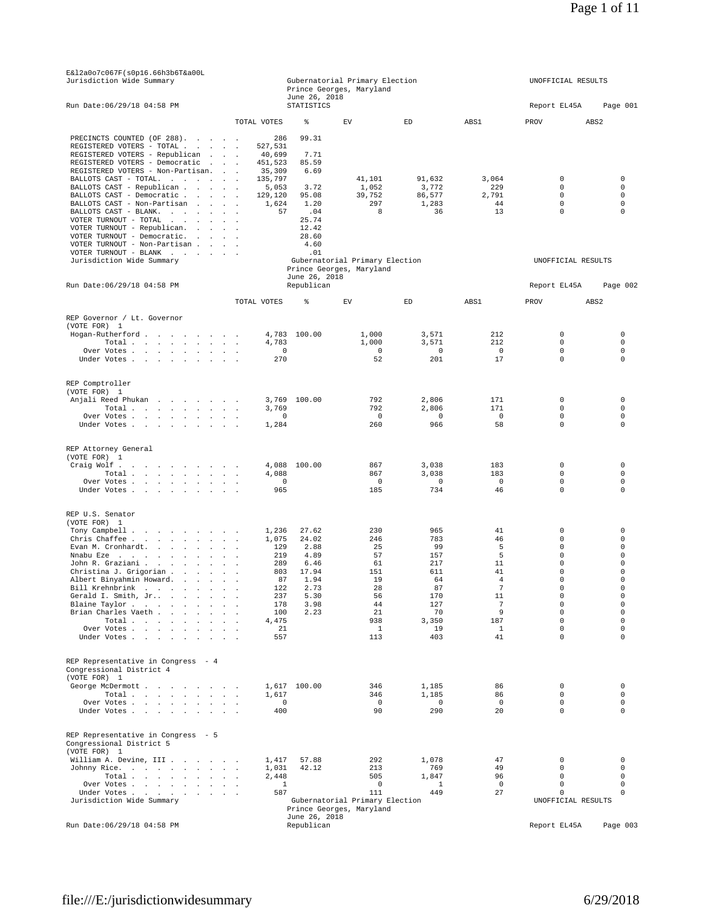| Jurisdiction Wide Summary                                                                         |                                        |                                    | Gubernatorial Primary Election<br>Prince Georges, Maryland |                     |                      | UNOFFICIAL RESULTS             |                            |
|---------------------------------------------------------------------------------------------------|----------------------------------------|------------------------------------|------------------------------------------------------------|---------------------|----------------------|--------------------------------|----------------------------|
| Run Date: 06/29/18 04:58 PM                                                                       |                                        | June 26, 2018<br><b>STATISTICS</b> |                                                            |                     |                      | Report EL45A                   | Page 001                   |
|                                                                                                   | TOTAL VOTES                            | ి                                  | EV                                                         | ED                  | ABS1                 | PROV                           | ABS2                       |
| PRECINCTS COUNTED (OF 288).                                                                       | 286                                    | 99.31                              |                                                            |                     |                      |                                |                            |
| REGISTERED VOTERS - TOTAL .<br>and the state of the state<br>REGISTERED VOTERS - Republican       | 527.531<br>40,699                      | 7.71                               |                                                            |                     |                      |                                |                            |
| REGISTERED VOTERS - Democratic                                                                    | 451,523                                | 85.59                              |                                                            |                     |                      |                                |                            |
| REGISTERED VOTERS - Non-Partisan.                                                                 | 35,309                                 | 6.69                               |                                                            |                     |                      |                                |                            |
| BALLOTS CAST - TOTAL.                                                                             | 135,797                                | 3.72                               | 41,101                                                     | 91,632              | 3,064<br>229         | 0<br>$\mathsf 0$               | 0<br>$\mathbf 0$           |
| BALLOTS CAST - Republican<br>BALLOTS CAST - Democratic                                            | 5,053<br>129,120                       | 95.08                              | 1,052<br>39,752                                            | 3,772<br>86,577     | 2,791                | $\circ$                        | $\mathbf 0$                |
| BALLOTS CAST - Non-Partisan                                                                       | 1,624                                  | 1.20                               | 297                                                        | 1,283               | 44                   | $\circ$                        | $\mathbf 0$                |
| BALLOTS CAST - BLANK.<br>VOTER TURNOUT - TOTAL                                                    | 57                                     | .04<br>25.74                       | 8                                                          | 36                  | 13                   | $\circ$                        | 0                          |
| VOTER TURNOUT - Republican.<br>and the state of the state of                                      |                                        | 12.42                              |                                                            |                     |                      |                                |                            |
| VOTER TURNOUT - Democratic.                                                                       |                                        | 28.60                              |                                                            |                     |                      |                                |                            |
| VOTER TURNOUT - Non-Partisan<br>VOTER TURNOUT - BLANK $\cdot$                                     |                                        | 4.60<br>.01                        |                                                            |                     |                      |                                |                            |
| Jurisdiction Wide Summary                                                                         |                                        |                                    | Gubernatorial Primary Election                             |                     |                      | UNOFFICIAL RESULTS             |                            |
|                                                                                                   |                                        |                                    | Prince Georges, Maryland                                   |                     |                      |                                |                            |
| Run Date: 06/29/18 04:58 PM                                                                       |                                        | June 26, 2018<br>Republican        |                                                            |                     |                      | Report EL45A                   | Page 002                   |
|                                                                                                   | TOTAL VOTES                            | ి                                  | EV                                                         | ED                  | ABS1                 | PROV                           | ABS <sub>2</sub>           |
|                                                                                                   |                                        |                                    |                                                            |                     |                      |                                |                            |
| REP Governor / Lt. Governor<br>(VOTE FOR) 1                                                       |                                        |                                    |                                                            |                     |                      |                                |                            |
| Hogan-Rutherford                                                                                  |                                        | 4,783 100.00                       | 1,000                                                      | 3,571               | 212                  | $\mathsf 0$                    | 0                          |
| Total<br>Over Votes                                                                               | 4,783<br>$^{\circ}$                    |                                    | 1,000<br>$\overline{0}$                                    | 3,571<br>$^{\circ}$ | 212<br>$^{\circ}$    | $\circ$<br>0                   | $\mathbf 0$<br>0           |
| Under Votes                                                                                       | 270                                    |                                    | 52                                                         | 201                 | 17                   | $\mathsf 0$                    | $\mathbf 0$                |
|                                                                                                   |                                        |                                    |                                                            |                     |                      |                                |                            |
| REP Comptroller                                                                                   |                                        |                                    |                                                            |                     |                      |                                |                            |
| (VOTE FOR) 1<br>Anjali Reed Phukan                                                                |                                        | 3,769 100.00                       | 792                                                        | 2,806               | 171                  | $\circ$                        | $\mathbf 0$                |
| $\texttt{Total}~~.~~.~~.~~.~~.~~.~~.~~.~~.$                                                       | 3,769                                  |                                    | 792                                                        | 2,806               | 171                  | $\circ$                        | $\mathbf 0$                |
| Over Votes<br>Under Votes                                                                         | $^{\circ}$<br>1,284                    |                                    | $\overline{\phantom{0}}$<br>260                            | $^{\circ}$<br>966   | 0<br>58              | 0<br>$\circ$                   | 0<br>$\mathbf 0$           |
|                                                                                                   |                                        |                                    |                                                            |                     |                      |                                |                            |
| REP Attorney General                                                                              |                                        |                                    |                                                            |                     |                      |                                |                            |
| (VOTE FOR) 1                                                                                      |                                        |                                    |                                                            |                     |                      |                                |                            |
| Craig Wolf<br>Total                                                                               | 4,088                                  | 4,088 100.00                       | 867<br>867                                                 | 3,038<br>3,038      | 183<br>183           | 0<br>0                         | 0<br>$\mathbf 0$           |
| Over Votes                                                                                        | $\overline{0}$                         |                                    | 0                                                          | $^{\circ}$          | $^{\circ}$           | 0                              | $\mathbf 0$                |
| Under Votes                                                                                       | 965                                    |                                    | 185                                                        | 734                 | 46                   | 0                              | $\mathbf 0$                |
| REP U.S. Senator                                                                                  |                                        |                                    |                                                            |                     |                      |                                |                            |
| (VOTE FOR) 1                                                                                      |                                        |                                    |                                                            |                     |                      |                                |                            |
| Tony Campbell                                                                                     | 1,236                                  | 27.62                              | 230                                                        | 965                 | 41                   | $\mathsf 0$                    | 0                          |
| Chris Chaffee<br>Evan M. Cronhardt.                                                               | 1,075<br>129                           | 24.02<br>2.88                      | 246<br>25                                                  | 783<br>99           | 46<br>5              | $\circ$<br>0                   | 0<br>$\mathbf 0$           |
| Nnabu Eze.                                                                                        | 219                                    | 4.89                               | 57                                                         | 157                 | 5                    | 0                              | $\mathbf 0$                |
| John R. Graziani                                                                                  | 289                                    | 6.46                               | 61                                                         | 217                 | 11                   | $\circ$                        | $\Omega$                   |
| Christina J. Grigorian<br>Albert Binyahmin Howard.                                                | 803<br>87                              | 17.94<br>1.94                      | 151<br>19                                                  | 611<br>64           | 41<br>$\overline{4}$ | 0<br>0                         | 0<br>0                     |
| Bill Krehnbrink                                                                                   | 122                                    | 2.73                               | 28                                                         | 87                  | $7\phantom{.0}$      | 0                              | $\mathbf 0$                |
| Gerald I. Smith, Jr<br>$\sim$                                                                     | 237                                    | 5.30                               | 56                                                         | 170                 | 11                   | 0                              | 0                          |
| Blaine Taylor.<br>and the company of the com-<br>$\sim 10^{-1}$<br>$\cdot$<br>Brian Charles Vaeth | 178<br>$\overline{\phantom{a}}$<br>100 | 3.98<br>2.23                       | 44<br>21                                                   | 127<br>70           | $7\phantom{.0}$<br>9 | 0<br>0                         | $\mathbf 0$<br>$\mathbf 0$ |
| Total                                                                                             | 4,475                                  |                                    | 938                                                        | 3,350               | 187                  | $\circ$                        | $\mathbf 0$                |
| Over Votes                                                                                        | 21                                     |                                    | $\mathbf{1}$                                               | 19                  | $\mathbf{1}$         | $\circ$                        | $\mathbf 0$                |
| Under Votes                                                                                       | 557                                    |                                    | 113                                                        | 403                 | 41                   | $\circ$                        | $\mathbf 0$                |
| REP Representative in Congress - 4                                                                |                                        |                                    |                                                            |                     |                      |                                |                            |
| Congressional District 4                                                                          |                                        |                                    |                                                            |                     |                      |                                |                            |
| (VOTE FOR) 1                                                                                      |                                        |                                    |                                                            |                     |                      |                                |                            |
| George McDermott<br>Total $\cdots$ $\cdots$ $\cdots$                                              | 1,617                                  | 1,617 100.00                       | 346<br>346                                                 | 1,185<br>1,185      | 86<br>86             | $\circ$<br>$\circ$             | 0<br>$\mathbf 0$           |
| Over Votes                                                                                        | $\circ$                                |                                    | 0                                                          | $\Omega$            | $\mathbb O$          | $\circ$                        | 0                          |
| Under Votes                                                                                       | 400                                    |                                    | 90                                                         | 290                 | 20                   | $\circ$                        | $\mathbf 0$                |
|                                                                                                   |                                        |                                    |                                                            |                     |                      |                                |                            |
| REP Representative in Congress - 5<br>Congressional District 5                                    |                                        |                                    |                                                            |                     |                      |                                |                            |
| (VOTE FOR) 1<br>William A. Devine, III                                                            | 1,417                                  | 57.88                              | 292                                                        | 1,078               | 47                   | 0                              | 0                          |
| Johnny Rice.                                                                                      | 1,031                                  | 42.12                              | 213                                                        | 769                 | 49                   | $\circ$                        | $\mathbf 0$                |
| Total $\cdots$ $\cdots$ $\cdots$                                                                  | 2,448<br>$\sim$                        |                                    | 505<br>$\mathsf 0$                                         | 1,847<br>1          | 96<br>$^{\circ}$     | $\circ$<br>$\mathsf{O}\xspace$ | $\mathbf 0$<br>$\mathbf 0$ |
| Over Votes<br>Under Votes.<br><b>Service</b> State<br>$\ddot{\phantom{a}}$                        | 1<br>587                               |                                    | 111                                                        | 449                 | 27                   | $\mathsf{O}\xspace$            | $\mathbf 0$                |
| Jurisdiction Wide Summary                                                                         |                                        |                                    | Gubernatorial Primary Election                             |                     |                      | UNOFFICIAL RESULTS             |                            |
|                                                                                                   |                                        | June 26, 2018                      | Prince Georges, Maryland                                   |                     |                      |                                |                            |
| Run Date: 06/29/18 04:58 PM                                                                       |                                        | Republican                         |                                                            |                     |                      | Report EL45A                   | Page 003                   |

E &l2a0o7c067F (s0p16.66h3b6T &a00L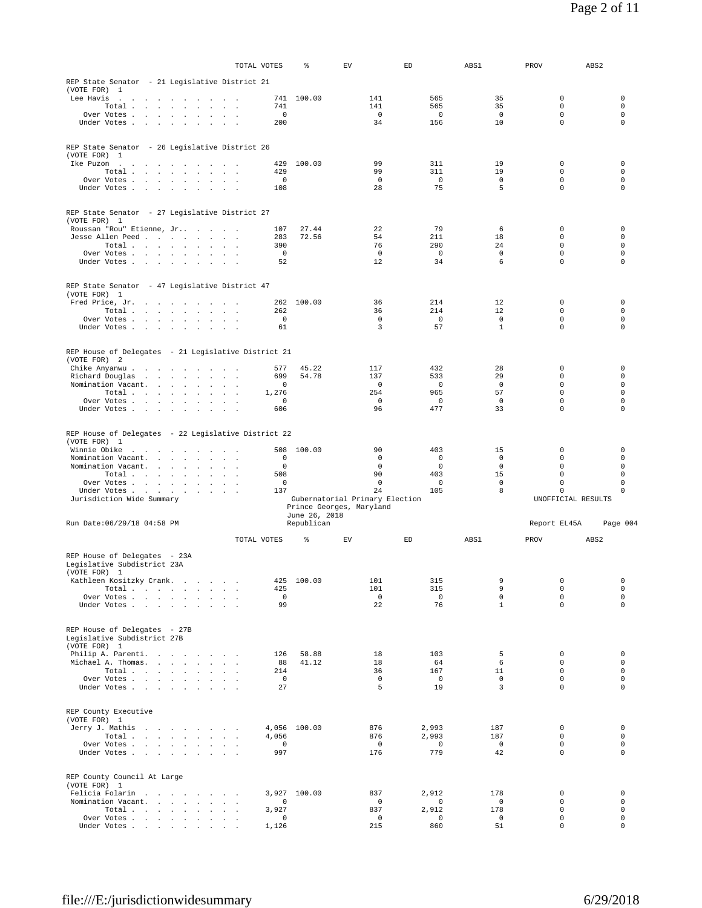|                                                                       |                                         |                          |                      |               | TOTAL VOTES          | %             | EV                             | ED                 | ABS1               | PROV                            | ABS <sub>2</sub>           |
|-----------------------------------------------------------------------|-----------------------------------------|--------------------------|----------------------|---------------|----------------------|---------------|--------------------------------|--------------------|--------------------|---------------------------------|----------------------------|
| REP State Senator - 21 Legislative District 21                        |                                         |                          |                      |               |                      |               |                                |                    |                    |                                 |                            |
| (VOTE FOR) 1                                                          |                                         |                          |                      |               |                      |               |                                |                    |                    |                                 |                            |
| Lee Havis<br>the contract of the contract of the contract of          |                                         |                          |                      | $\sim$ $\sim$ | 741<br>741           | 100.00        | 141<br>141                     | 565<br>565         | 35<br>35           | 0<br>$\mathsf{O}\xspace$        | 0<br>$\mathsf 0$           |
| Total .<br>Over Votes                                                 | and the control of the                  | $\sim$                   | $\ddot{\phantom{0}}$ |               | $\circ$              |               | $\Omega$                       | $\Omega$           | $\overline{0}$     | $\Omega$                        | $\circ$                    |
| Under Votes                                                           |                                         | $\sim$                   |                      |               | 200                  |               | 34                             | 156                | 10                 | $\circ$                         | $\mathbf 0$                |
|                                                                       |                                         |                          |                      |               |                      |               |                                |                    |                    |                                 |                            |
| REP State Senator - 26 Legislative District 26                        |                                         |                          |                      |               |                      |               |                                |                    |                    |                                 |                            |
| (VOTE FOR) 1                                                          |                                         |                          |                      |               |                      |               |                                |                    |                    |                                 |                            |
| Ike Puzon<br>the contract of the contract of the contract of<br>Total |                                         |                          |                      | $\sim$ $\sim$ | 429<br>429           | 100.00        | 99<br>99                       | 311<br>311         | 19<br>19           | $\circ$<br>$\mathsf{O}\xspace$  | $\circ$<br>$\circ$         |
| Over Votes                                                            |                                         |                          |                      |               | $\circ$              |               | $\mathbf 0$                    | $\mathbf 0$        | $\mathbf{0}$       | $\circ$                         | $\circ$                    |
| Under Votes                                                           |                                         |                          |                      |               | 108                  |               | 28                             | 75                 | 5                  | $\circ$                         | $\mathbf 0$                |
|                                                                       |                                         |                          |                      |               |                      |               |                                |                    |                    |                                 |                            |
| REP State Senator - 27 Legislative District 27<br>(VOTE FOR) 1        |                                         |                          |                      |               |                      |               |                                |                    |                    |                                 |                            |
| Roussan "Rou" Etienne, Jr                                             |                                         |                          |                      |               | 107                  | 27.44         | 22                             | 79                 | 6                  | 0                               | 0                          |
| Jesse Allen Peed                                                      |                                         |                          |                      |               | 283                  | 72.56         | 54                             | 211                | 18                 | 0                               | 0                          |
| Total<br>Over Votes                                                   |                                         |                          | $\sim$ $\sim$        |               | 390<br>$\mathbf 0$   |               | 76<br>$\mathbf 0$              | 290<br>$\mathbb O$ | 24<br>$\mathsf 0$  | $\Omega$<br>$\mathsf{O}\xspace$ | $\Omega$<br>$\circ$        |
| Under Votes                                                           |                                         |                          |                      | $\sim$ $\sim$ | 52                   |               | 12                             | 34                 | 6                  | $\circ$                         | 0                          |
|                                                                       |                                         |                          |                      |               |                      |               |                                |                    |                    |                                 |                            |
| REP State Senator - 47 Legislative District 47                        |                                         |                          |                      |               |                      |               |                                |                    |                    |                                 |                            |
| (VOTE FOR) 1<br>Fred Price, Jr.                                       | and the contract of the contract of the |                          |                      |               | 262                  | 100.00        | 36                             | 214                | 12                 | $\circ$                         | $\circ$                    |
| Total                                                                 |                                         |                          |                      |               | 262                  |               | 36                             | 214                | 12                 | $\circ$                         | $\circ$                    |
| Over Votes                                                            |                                         |                          |                      |               | $\mathbb O$          |               | $\mathbf 0$                    | $\mathbb O$        | $\mathbf 0$        | $\circ$                         | $\circ$                    |
| Under Votes                                                           |                                         |                          |                      |               | 61                   |               | 3                              | 57                 | 1                  | $\circ$                         | $\mathbf 0$                |
|                                                                       |                                         |                          |                      |               |                      |               |                                |                    |                    |                                 |                            |
| REP House of Delegates - 21 Legislative District 21<br>(VOTE FOR) 2   |                                         |                          |                      |               |                      |               |                                |                    |                    |                                 |                            |
| Chike Anyanwu.                                                        |                                         |                          |                      |               | 577                  | 45.22         | 117                            | 432                | 28                 | 0                               | 0                          |
| Richard Douglas                                                       | the contract of the contract of the     |                          |                      |               | 699                  | 54.78         | 137                            | 533                | 29                 | $\circ$                         | $\circ$                    |
| Nomination Vacant.<br>Total $\cdots$ $\cdots$ $\cdots$                |                                         |                          |                      | $\sim$ $\sim$ | $\mathbf 0$<br>1,276 |               | $\mathbf 0$<br>254             | $\mathbf 0$<br>965 | $\mathbf 0$<br>57  | $\circ$<br>$\circ$              | $\circ$<br>$\mathbf 0$     |
| Over Votes                                                            |                                         |                          |                      |               | $\mathbf 0$          |               | 0                              | 0                  | 0                  | $\circ$                         | 0                          |
| Under Votes                                                           |                                         |                          | $\sim$               |               | 606                  |               | 96                             | 477                | 33                 | $\circ$                         | $\mathbf 0$                |
|                                                                       |                                         |                          |                      |               |                      |               |                                |                    |                    |                                 |                            |
| REP House of Delegates - 22 Legislative District 22                   |                                         |                          |                      |               |                      |               |                                |                    |                    |                                 |                            |
| (VOTE FOR) 1                                                          |                                         |                          |                      |               | 508                  | 100.00        | 90                             | 403                | 15                 | 0                               | 0                          |
|                                                                       |                                         |                          |                      |               |                      |               |                                |                    |                    |                                 |                            |
| Winnie Obike<br>Nomination Vacant.                                    | the contract of the contract            |                          |                      | $\sim$ $\sim$ | $\circ$              |               | $\mathbf 0$                    | $\mathbf 0$        | $\mathbf 0$        | $\circ$                         | 0                          |
| Nomination Vacant.                                                    |                                         |                          |                      |               | $\circ$              |               | 0                              | $\mathbf 0$        | $\mathbf 0$        | $\circ$                         | $\circ$                    |
| Total                                                                 |                                         |                          |                      |               | 508<br>$\circ$       |               | 90<br>$\mathbf 0$              | 403<br>$\mathbf 0$ | 15<br>$\mathbf{0}$ | $\mathsf{O}\xspace$<br>$\circ$  | $\mathsf 0$<br>$\circ$     |
| Over Votes<br>Under Votes                                             |                                         |                          |                      | $\sim$ $\sim$ | 137                  |               | 24                             | 105                | 8                  | $\circ$                         | 0                          |
| Jurisdiction Wide Summary                                             |                                         |                          |                      |               |                      |               | Gubernatorial Primary Election |                    |                    | UNOFFICIAL RESULTS              |                            |
|                                                                       |                                         |                          |                      |               |                      | June 26, 2018 | Prince Georges, Maryland       |                    |                    |                                 |                            |
| Run Date: 06/29/18 04:58 PM                                           |                                         |                          |                      |               |                      | Republican    |                                |                    |                    | Report EL45A                    | Page 004                   |
|                                                                       |                                         |                          |                      |               | TOTAL VOTES          | ి             | ${\rm EV}$                     | ED                 | ABS1               | PROV                            | ABS <sub>2</sub>           |
| REP House of Delegates - 23A                                          |                                         |                          |                      |               |                      |               |                                |                    |                    |                                 |                            |
| Legislative Subdistrict 23A                                           |                                         |                          |                      |               |                      |               |                                |                    |                    |                                 |                            |
| (VOTE FOR) 1                                                          |                                         |                          | $\sim$               |               |                      |               |                                |                    |                    |                                 | 0                          |
| Kathleen Kositzky Crank.<br>Total                                     |                                         | <b>Contract Contract</b> | $\sim$               |               | 425<br>425           | 100.00        | 101<br>101                     | 315<br>315         | 9<br>9             | $\mathsf 0$<br>$\circ$          | $\circ$                    |
| Over Votes                                                            |                                         |                          |                      |               | $\mathbf 0$          |               | $\mathbf{0}$                   | $\mathbf 0$        | $\mathbf 0$        | $\circ$                         | $\circ$                    |
| Under Votes                                                           |                                         | $\sim$ $\sim$ $\sim$     |                      |               | 99                   |               | 22                             | 76                 | $\mathbf{1}$       | $\circ$                         | $\circ$                    |
|                                                                       |                                         |                          |                      |               |                      |               |                                |                    |                    |                                 |                            |
| REP House of Delegates - 27B                                          |                                         |                          |                      |               |                      |               |                                |                    |                    |                                 |                            |
| Legislative Subdistrict 27B<br>(VOTE FOR) 1                           |                                         |                          |                      |               |                      |               |                                |                    |                    |                                 |                            |
| Philip A. Parenti.                                                    | the contract of the contract of the     |                          |                      |               | 126                  | 58.88         | 18                             | 103                | 5                  | $\circ$                         | $\circ$                    |
| Michael A. Thomas.<br>Total                                           |                                         | $\ddot{\phantom{a}}$     | $\sim$               |               | 88<br>214            | 41.12         | 18<br>36                       | 64<br>167          | 6<br>11            | $\circ$<br>$\circ$              | $\circ$<br>$\circ$         |
| Over Votes                                                            |                                         |                          |                      |               | $\circ$              |               | $\Omega$                       | $\overline{0}$     | $\overline{0}$     | $\circ$                         | $\circ$                    |
| Under Votes                                                           |                                         |                          | $\sim$               |               | 27                   |               | 5                              | 19                 | $\overline{3}$     | $\circ$                         | $\mathbf 0$                |
|                                                                       |                                         |                          |                      |               |                      |               |                                |                    |                    |                                 |                            |
| REP County Executive                                                  |                                         |                          |                      |               |                      |               |                                |                    |                    |                                 |                            |
| (VOTE FOR) 1<br>Jerry J. Mathis                                       |                                         |                          |                      |               |                      | 4,056 100.00  | 876                            | 2,993              | 187                | $\circ$                         | $\circ$                    |
| Total                                                                 |                                         |                          |                      |               | 4,056                |               | 876                            | 2,993              | 187                | $\circ$                         | 0                          |
| Over Votes                                                            |                                         |                          |                      |               | 0<br>997             |               | $\circ$                        | $\mathbb O$<br>779 | $\mathbf 0$<br>42  | $\circ$<br>$\circ$              | $\circ$<br>$\Omega$        |
| Under Votes                                                           |                                         |                          |                      |               |                      |               | 176                            |                    |                    |                                 |                            |
|                                                                       |                                         |                          |                      |               |                      |               |                                |                    |                    |                                 |                            |
| REP County Council At Large<br>(VOTE FOR) 1                           |                                         |                          |                      |               |                      |               |                                |                    |                    |                                 |                            |
| Felicia Folarin                                                       |                                         |                          |                      |               | 3,927                | 100.00        | 837                            | 2,912              | 178                | 0                               | 0                          |
| Nomination Vacant.<br>Total                                           | the contract of the contract            |                          | $\sim$               |               | 0<br>3,927           |               | $\mathbf 0$<br>837             | 0<br>2,912         | $\mathbf 0$<br>178 | $\circ$<br>$\mathsf{O}\xspace$  | 0<br>$\circ$               |
| Over Votes<br>Under Votes                                             |                                         |                          |                      |               | 0<br>1,126           |               | $\overline{0}$<br>215          | $\mathbf 0$<br>860 | $\mathbf 0$<br>51  | $\mathsf{O}\xspace$<br>$\circ$  | $\mathsf 0$<br>$\mathbf 0$ |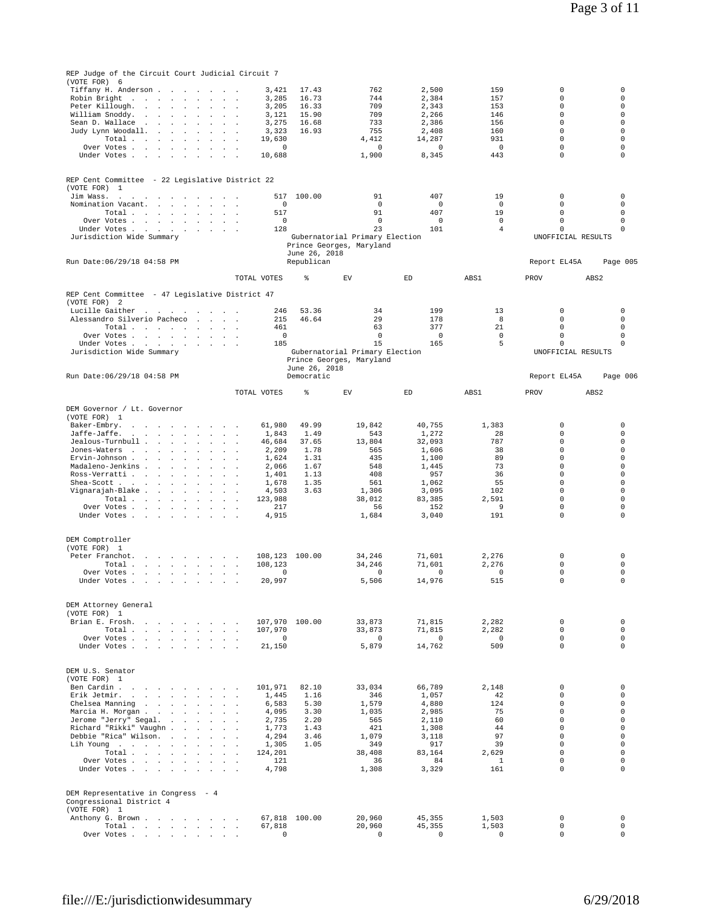| REP Judge of the Circuit Court Judicial Circuit 7                                                                                                                                 |                                    |                                           |                                               |                       |                            |                         |
|-----------------------------------------------------------------------------------------------------------------------------------------------------------------------------------|------------------------------------|-------------------------------------------|-----------------------------------------------|-----------------------|----------------------------|-------------------------|
| (VOTE FOR) 6                                                                                                                                                                      |                                    |                                           |                                               |                       |                            |                         |
| Tiffany H. Anderson.<br><b>Contract Contract</b><br>$\sim$<br>$\sim$                                                                                                              | 3,421<br>$\sim$ $\sim$ $\sim$      | 17.43                                     | 762<br>2,500                                  | 159                   | 0                          | 0                       |
| Robin Bright<br><b>Contract Contract</b>                                                                                                                                          | 3,285<br>$\sim$                    | 16.73                                     | 744<br>2.384                                  | 157                   | 0                          | 0                       |
| Peter Killough.<br>$\sim$ $\sim$<br>$\sim$ $\sim$<br>$\sim$<br>William Snoddy.<br>the contract of the con-                                                                        | 3,205<br>3,121                     | 16.33<br>15.90                            | 2,343<br>709<br>709<br>2,266                  | 153<br>146            | 0<br>$\Omega$              | $\mathbf 0$<br>$\Omega$ |
| Sean D. Wallace<br>$\sim$<br><b>Contract Contract</b><br>$\ddot{\phantom{0}}$<br>$\mathbf{r}$                                                                                     | 3,275                              | 16.68                                     | 733<br>2,386                                  | 156                   | $\circ$                    | $\mathbf 0$             |
| Judy Lynn Woodall.<br>$\sim$<br>$\sim 100$ $\mu$<br>$\mathbf{r}$<br>$\overline{a}$                                                                                                | 3,323                              | 16.93                                     | 755<br>2,408                                  | 160                   | 0                          | 0                       |
| Total<br>the contract of the contract of the                                                                                                                                      | 19,630                             |                                           | 4,412<br>14,287                               | 931                   | 0                          | $\mathbf 0$             |
| Over Votes<br>$\ddot{\phantom{0}}$<br>$\sim$                                                                                                                                      | 0                                  |                                           | 0<br>$^{\circ}$                               | $\mathsf 0$           | $\mathsf 0$<br>$\mathbf 0$ | $\mathbf 0$<br>0        |
| Under Votes<br>$\sim 10^{-11}$                                                                                                                                                    | 10,688                             |                                           | 1,900<br>8,345                                | 443                   |                            |                         |
|                                                                                                                                                                                   |                                    |                                           |                                               |                       |                            |                         |
| REP Cent Committee - 22 Legislative District 22                                                                                                                                   |                                    |                                           |                                               |                       |                            |                         |
| (VOTE FOR)<br>1                                                                                                                                                                   |                                    |                                           |                                               |                       |                            |                         |
| Jim Wass.<br>the contract of the contract of the contract of<br>and the control<br>$\sim$                                                                                         | 517<br>0                           | 100.00                                    | 91<br>407<br>0<br>0                           | 19<br>$\mathbf 0$     | 0<br>$\mathbf 0$           | 0<br>$\mathbf 0$        |
| Nomination Vacant.<br>Total<br>$\sim$<br>$\mathbf{r}$                                                                                                                             | 517                                |                                           | 91<br>407                                     | 19                    | $\mathsf 0$                | $\mathbf 0$             |
| Over Votes<br><b>Carl Carl</b>                                                                                                                                                    | $\circ$                            |                                           | $\mathbf{0}$<br>$^{\circ}$                    | $\mathbf 0$           | $\circ$                    | $\mathbf 0$             |
| Under Votes                                                                                                                                                                       | 128                                |                                           | 23<br>101                                     | $\overline{4}$        | $\mathsf 0$                | 0                       |
| Jurisdiction Wide Summary                                                                                                                                                         |                                    |                                           | Gubernatorial Primary Election                |                       | UNOFFICIAL RESULTS         |                         |
|                                                                                                                                                                                   |                                    | Prince Georges, Maryland<br>June 26, 2018 |                                               |                       |                            |                         |
| Run Date: 06/29/18 04:58 PM                                                                                                                                                       |                                    | Republican                                |                                               |                       | Report EL45A               | Page 005                |
|                                                                                                                                                                                   |                                    |                                           |                                               |                       |                            |                         |
|                                                                                                                                                                                   | TOTAL VOTES                        | ి<br>EV                                   | $\mathop{\rm ED}\nolimits$                    | ABS1                  | PROV                       | ABS <sub>2</sub>        |
|                                                                                                                                                                                   |                                    |                                           |                                               |                       |                            |                         |
| REP Cent Committee - 47 Legislative District 47<br>(VOTE FOR)<br>-2                                                                                                               |                                    |                                           |                                               |                       |                            |                         |
| Lucille Gaither                                                                                                                                                                   | 246                                | 53.36                                     | 34<br>199                                     | 13                    | 0                          | 0                       |
| Alessandro Silverio Pacheco<br><b>Carl Adams</b>                                                                                                                                  | 215                                | 46.64                                     | 29<br>178                                     | 8                     | $\mathsf 0$                | $\mathbf 0$             |
| Total<br>$\ddot{\phantom{a}}$                                                                                                                                                     | 461                                |                                           | 63<br>377                                     | 21                    | $\circ$                    | 0                       |
| Over Votes                                                                                                                                                                        | $\circ$                            |                                           | 0<br>$^{\circ}$<br>15                         | $\mathsf 0$<br>5      | $\mathsf 0$<br>$\mathsf 0$ | 0<br>$\mathbf 0$        |
| Under Votes.<br><b>Carl Carl Carl</b><br>$\overline{a}$<br>Jurisdiction Wide Summary                                                                                              | 185                                |                                           | 165<br>Gubernatorial Primary Election         |                       | UNOFFICIAL RESULTS         |                         |
|                                                                                                                                                                                   |                                    | Prince Georges, Maryland                  |                                               |                       |                            |                         |
|                                                                                                                                                                                   |                                    | June 26, 2018                             |                                               |                       |                            |                         |
| Run Date: 06/29/18 04:58 PM                                                                                                                                                       |                                    | Democratic                                |                                               |                       | Report EL45A               | Page 006                |
|                                                                                                                                                                                   | TOTAL VOTES                        | ి<br>EV                                   | ED                                            | ABS1                  | PROV                       | ABS <sub>2</sub>        |
|                                                                                                                                                                                   |                                    |                                           |                                               |                       |                            |                         |
| DEM Governor / Lt. Governor                                                                                                                                                       |                                    |                                           |                                               |                       |                            |                         |
| (VOTE FOR) 1                                                                                                                                                                      |                                    |                                           |                                               |                       |                            |                         |
| Baker-Embry.<br>the contract of the contract of<br>$\ddot{\phantom{a}}$<br>$\sim$ $\sim$ $\sim$<br>Jaffe-Jaffe.<br>$\sim$<br>$\sim$<br>$\sim$<br>$\sim$<br>$\mathbf{r}$<br>$\sim$ | 61,980<br>1,843                    | 49.99<br>1.49                             | 19,842<br>40,755<br>543<br>1,272              | 1,383<br>28           | 0<br>0                     | $\mathbf 0$<br>0        |
| Jealous-Turnbull<br>$\sim$ $\sim$ $\sim$                                                                                                                                          | 46,684<br>$\sim$                   | 37.65                                     | 13,804<br>32,093                              | 787                   | 0                          | $\mathbf 0$             |
| Jones-Waters<br>$\sim 100$ km s $^{-1}$<br>$\sim$<br>$\overline{a}$<br>$\ddot{\phantom{a}}$                                                                                       | 2,209                              | 1.78                                      | 565<br>1,606                                  | 38                    | $\mathbf 0$                | 0                       |
| Ervin-Johnson<br>$\sim$<br>$\overline{a}$                                                                                                                                         | 1,624                              | 1.31                                      | 435<br>1,100                                  | 89                    | $\mathbf 0$                | 0                       |
| Madaleno-Jenkins<br>$\sim$<br>$\sim$ 100                                                                                                                                          | 2,066                              | 1.67                                      | 548<br>1,445                                  | 73                    | $\mathbf 0$                | 0                       |
| Ross-Verratti                                                                                                                                                                     | 1,401                              | 1.13<br>1.35                              | 408<br>957<br>561                             | 36<br>55              | 0<br>$\circ$               | 0<br>0                  |
| Shea-Scott<br>$\blacksquare$<br>$\cdot$<br>Vignarajah-Blake<br>$\sim$ $\sim$                                                                                                      | 1,678<br>$\sim$<br>4,503<br>$\sim$ | 3.63                                      | 1,062<br>1,306<br>3,095                       | 102                   | $\circ$                    | 0                       |
| Total<br>$\ddot{\phantom{a}}$<br>$\ddot{\phantom{a}}$<br>$\mathbf{r}$                                                                                                             | 123,988                            |                                           | 38,012<br>83,385                              | 2,591                 | $\mathbf 0$                | 0                       |
| Over Votes                                                                                                                                                                        | 217                                |                                           | 56<br>152                                     | 9                     | 0                          | $\mathbf 0$             |
| Under Votes<br>$\sim$                                                                                                                                                             | 4,915                              |                                           | 1,684<br>3,040                                | 191                   | $\mathsf 0$                | 0                       |
|                                                                                                                                                                                   |                                    |                                           |                                               |                       |                            |                         |
| DEM Comptroller                                                                                                                                                                   |                                    |                                           |                                               |                       |                            |                         |
| (VOTE FOR) 1                                                                                                                                                                      |                                    |                                           |                                               |                       |                            |                         |
| Peter Franchot.<br>the company of the company of                                                                                                                                  |                                    |                                           |                                               |                       |                            |                         |
|                                                                                                                                                                                   | 108,123                            | 100.00                                    | 34,246<br>71,601                              | 2,276                 | 0                          | 0                       |
| Total                                                                                                                                                                             | 108,123<br>$\ddot{\phantom{a}}$    |                                           | 34.246<br>71,601                              | 2.276                 | $\mathsf 0$                | 0                       |
| Over Votes                                                                                                                                                                        | $\circ$<br>$\sim$                  |                                           | $\mathbf 0$<br>$\mathbf 0$                    | $\mathbf 0$           | $\mathbf 0$                | $\mathbf 0$             |
| Under Votes                                                                                                                                                                       | 20,997                             |                                           | 5,506<br>14,976                               | 515                   | 0                          | 0                       |
|                                                                                                                                                                                   |                                    |                                           |                                               |                       |                            |                         |
| DEM Attorney General                                                                                                                                                              |                                    |                                           |                                               |                       |                            |                         |
| (VOTE FOR) 1                                                                                                                                                                      |                                    |                                           |                                               |                       |                            |                         |
| Brian E. Frosh.                                                                                                                                                                   | 107,970                            | 107,970 100.00                            | 33,873<br>71,815<br>33,873<br>71,815          | 2,282<br>2.282        | $\circ$<br>$\circ$         | $\mathbf 0$<br>$\circ$  |
| Total<br>Over Votes                                                                                                                                                               | $\overline{0}$                     |                                           | $\mathbf 0$<br>$\overline{0}$                 | $\overline{0}$        | $\circ$                    | $\circ$                 |
| Under Votes                                                                                                                                                                       | 21,150                             |                                           | 5,879<br>14,762                               | 509                   | $\Omega$                   | $\mathbf 0$             |
|                                                                                                                                                                                   |                                    |                                           |                                               |                       |                            |                         |
|                                                                                                                                                                                   |                                    |                                           |                                               |                       |                            |                         |
| DEM U.S. Senator<br>(VOTE FOR) 1                                                                                                                                                  |                                    |                                           |                                               |                       |                            |                         |
| Ben Cardin                                                                                                                                                                        | 101,971                            | 82.10                                     | 33,034<br>66,789                              | 2,148                 | $\circ$                    | 0                       |
| Erik Jetmir.                                                                                                                                                                      | 1,445                              | 1.16                                      | 346<br>1,057                                  | 42                    | $\circ$                    | $\mathbf 0$             |
| Chelsea Manning                                                                                                                                                                   | 6,583                              | 5.30                                      | 1,579<br>4,880                                | 124                   | $\circ$                    | $\mathbf 0$             |
| Marcia H. Morgan                                                                                                                                                                  | 4,095                              | 3.30                                      | 1,035<br>2,985<br>565                         | 75<br>60              | $\circ$<br>$\Omega$        | $\mathbf 0$<br>$\Omega$ |
| Jerome "Jerry" Segal.<br>Richard "Rikki" Vaughn                                                                                                                                   | 2,735<br>1,773                     | 2.20<br>1.43                              | 2,110<br>421<br>1,308                         | 44                    | $\circ$                    | $\mathbf 0$             |
| Debbie "Rica" Wilson.                                                                                                                                                             | 4,294                              | 3.46                                      | 1,079<br>3,118                                | 97                    | $\circ$                    | $\mathbf 0$             |
| Lih Young                                                                                                                                                                         | 1,305                              | 1.05                                      | 349<br>917                                    | 39                    | $\Omega$                   | $\Omega$                |
| Total                                                                                                                                                                             | 124,201                            |                                           | 38,408<br>83,164                              | 2,629                 | $\Omega$                   | $\mathbf 0$             |
| Over Votes<br><b>Sales Street</b>                                                                                                                                                 | 121                                |                                           | 36<br>84                                      | $\mathbf{1}$          | $\circ$                    | $\mathbf 0$             |
| Under Votes                                                                                                                                                                       | 4,798                              |                                           | 1,308<br>3,329                                | 161                   | $\circ$                    | $\Omega$                |
|                                                                                                                                                                                   |                                    |                                           |                                               |                       |                            |                         |
| DEM Representative in Congress - 4                                                                                                                                                |                                    |                                           |                                               |                       |                            |                         |
| Congressional District 4                                                                                                                                                          |                                    |                                           |                                               |                       |                            |                         |
| (VOTE FOR) 1<br>Anthony G. Brown                                                                                                                                                  |                                    | 67,818 100.00                             | 20,960<br>45,355                              | 1,503                 | $\circ$                    | $\mathbb O$             |
| Total                                                                                                                                                                             | 67,818<br>$\circ$                  |                                           | 20,960<br>45,355<br>$\overline{0}$<br>$\circ$ | 1,503<br>$\mathbf{0}$ | $\circ$<br>$\circ$         | $\circ$<br>$\circ$      |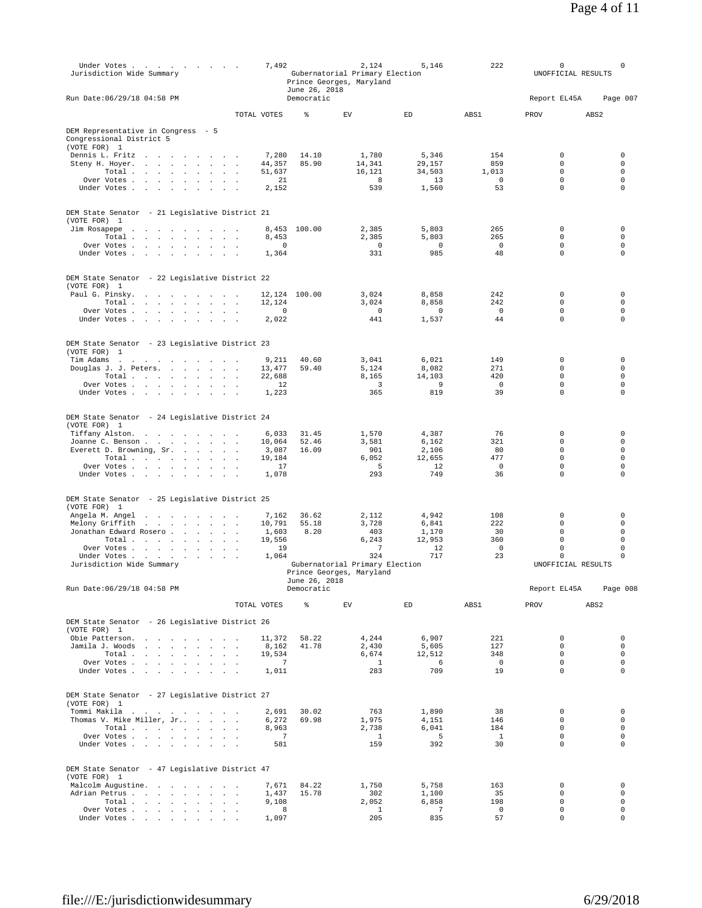| Under Votes<br>Jurisdiction Wide Summary                                                                                |                | 7,492                   | June 26, 2018  | 2,124<br>Gubernatorial Primary Election<br>Prince Georges, Maryland | 5,146                      | 222                  | $\circ$<br>UNOFFICIAL RESULTS  | 0                       |
|-------------------------------------------------------------------------------------------------------------------------|----------------|-------------------------|----------------|---------------------------------------------------------------------|----------------------------|----------------------|--------------------------------|-------------------------|
| Run Date: 06/29/18 04:58 PM                                                                                             |                |                         | Democratic     |                                                                     |                            |                      | Report EL45A                   | Page 007                |
|                                                                                                                         | TOTAL VOTES    |                         | ి              | EV                                                                  | ED                         | ABS1                 | PROV                           | ABS <sub>2</sub>        |
| DEM Representative in Congress - 5<br>Congressional District 5<br>(VOTE FOR) 1                                          |                |                         |                |                                                                     |                            |                      |                                |                         |
| Dennis L. Fritz<br>the contract of the contract of the                                                                  |                | 7,280                   | 14.10          | 1,780                                                               | 5,346                      | 154                  | $\circ$                        | $\mathbf 0$             |
| Steny H. Hoyer.<br>Total                                                                                                | $\mathbb{Z}^2$ | 44,357<br>51.637        | 85.90          | 14,341<br>16,121                                                    | 29,157<br>34,503           | 859<br>1,013         | $\circ$<br>$\circ$             | 0<br>$\circ$            |
| Over Votes                                                                                                              |                | 21                      |                | - 8                                                                 | 13                         | $\overline{0}$       | $\circ$                        | $\circ$                 |
| Under Votes<br>$\sim$<br>$\sim$<br>$\sim$                                                                               |                | 2,152                   |                | 539                                                                 | 1,560                      | 53                   | $\circ$                        | $\circ$                 |
| DEM State Senator - 21 Legislative District 21<br>(VOTE FOR) 1                                                          |                |                         |                |                                                                     |                            |                      |                                |                         |
| Jim Rosapepe<br>$\ddot{\phantom{a}}$<br>the contract of the contract of the con-                                        |                |                         | 8,453 100.00   | 2,385                                                               | 5,803                      | 265                  | $\circ$                        | $\circ$                 |
| Total $\cdots$ $\cdots$ $\cdots$                                                                                        |                | 8,453                   |                | 2,385                                                               | 5,803                      | 265                  | $\circ$                        | $\circ$                 |
| Over Votes                                                                                                              |                | 0                       |                | $\overline{0}$                                                      | 0                          | $\mathbf 0$          | $\mathsf{O}\xspace$            | $\mathsf 0$             |
| Under Votes                                                                                                             | $\sim$         | 1,364                   |                | 331                                                                 | 985                        | 48                   | $\mathsf{O}\xspace$            | $\mathbf 0$             |
| DEM State Senator - 22 Legislative District 22<br>(VOTE FOR) 1                                                          |                |                         |                |                                                                     |                            |                      |                                |                         |
| Paul G. Pinsky.<br>the contract of the contract of the                                                                  |                | 12,124                  | 100.00         | 3,024                                                               | 8,858                      | 242                  | 0                              | $\mathbf 0$             |
| Total                                                                                                                   |                | 12,124                  |                | 3,024                                                               | 8,858                      | 242                  | $\circ$                        | 0                       |
| Over Votes<br>Under Votes                                                                                               |                | $\circ$<br>2,022        |                | $\overline{0}$<br>441                                               | $^{\circ}$<br>1,537        | 0<br>44              | $\circ$<br>$\mathsf{O}\xspace$ | $\circ$<br>$\circ$      |
|                                                                                                                         |                |                         |                |                                                                     |                            |                      |                                |                         |
| DEM State Senator - 23 Legislative District 23<br>(VOTE FOR) 1<br>Tim Adams<br>the contract of the contract of the con- |                | 9,211                   | 40.60          | 3,041                                                               | 6,021                      | 149                  | $\circ$                        | $\mathbf 0$             |
| Douglas J. J. Peters.                                                                                                   |                | 13,477                  | 59.40          | 5,124                                                               | 8,082                      | 271                  | $\circ$                        | 0                       |
| Total                                                                                                                   |                | 22,688                  |                | 8,165                                                               | 14,103                     | 420                  | $\circ$                        | $\circ$                 |
| Over Votes<br>$\sim$<br>$\sim$                                                                                          | $\sim$         | 12                      |                | 3                                                                   | 9                          | $\mathbf 0$          | $\mathsf{O}\xspace$            | $\circ$                 |
| Under Votes                                                                                                             |                | 1,223                   |                | 365                                                                 | 819                        | 39                   | $\Omega$                       | $\Omega$                |
| DEM State Senator - 24 Legislative District 24<br>(VOTE FOR) 1                                                          |                |                         |                |                                                                     |                            |                      |                                |                         |
| Tiffany Alston.<br>the contract of the contract of the                                                                  |                | 6,033                   | 31.45          | 1,570                                                               | 4,387                      | 76                   | $\circ$                        | 0                       |
| Joanne C. Benson<br>Everett D. Browning, Sr.                                                                            | $\sim$         | 10,064<br>3,087         | 52.46<br>16.09 | 3,581<br>901                                                        | 6,162<br>2,106             | 321<br>80            | $\circ$<br>$\mathsf{O}\xspace$ | $\circ$<br>$\circ$      |
| Total $\cdots$ $\cdots$ $\cdots$                                                                                        |                | 19,184                  |                | 6,052                                                               | 12,655                     | 477                  | $\Omega$                       | $\Omega$                |
| Over Votes                                                                                                              | $\sim$         | 17                      |                | -5                                                                  | 12                         | $\mathbf 0$          | $\circ$                        | 0                       |
| Under Votes                                                                                                             | $\sim$ $\sim$  | 1,078                   |                | 293                                                                 | 749                        | 36                   | $\circ$                        | 0                       |
| DEM State Senator - 25 Legislative District 25<br>(VOTE FOR) 1                                                          |                |                         |                |                                                                     |                            |                      |                                |                         |
| Angela M. Angel<br>Melony Griffith<br>the contract of the contract of the                                               |                | 7,162<br>10,791         | 36.62<br>55.18 | 2,112<br>3,728                                                      | 4,942<br>6,841             | 108<br>222           | 0<br>$\Omega$                  | $\mathbb O$<br>$\Omega$ |
| Jonathan Edward Rosero                                                                                                  |                | 1,603                   | 8.20           | 403                                                                 | 1,170                      | 30                   | $\circ$                        | $\circ$                 |
| Total $\cdots$ $\cdots$                                                                                                 | $\sim$         | 19,556                  |                | 6.243                                                               | 12,953                     | 360                  | $\circ$                        | $\circ$                 |
| Over Votes                                                                                                              |                | 19                      |                | 7                                                                   | 12                         | $\mathbf 0$          | $\mathsf{O}\xspace$            | $\mathbf 0$             |
| Under Votes<br>Jurisdiction Wide Summary                                                                                |                | 1,064                   |                | 324<br>Gubernatorial Primary Election                               | 717                        | 23                   | $\circ$<br>UNOFFICIAL RESULTS  | 0                       |
|                                                                                                                         |                |                         | June 26, 2018  | Prince Georges, Maryland                                            |                            |                      |                                |                         |
| Run Date: 06/29/18 04:58 PM                                                                                             |                |                         | Democratic     |                                                                     |                            |                      | Report EL45A                   | Page 008                |
|                                                                                                                         |                | TOTAL VOTES             | နွ             | EV                                                                  | $\mathop{\rm ED}\nolimits$ | ABS1                 | PROV                           | ABS <sub>2</sub>        |
| DEM State Senator - 26 Legislative District 26<br>(VOTE FOR) 1                                                          |                |                         |                |                                                                     |                            |                      |                                |                         |
| Obie Patterson.<br>the contract of the contract of                                                                      |                | 11,372                  | 58.22          | 4,244                                                               | 6,907                      | 221                  | $\circ$                        | $\circ$                 |
| Jamila J. Woods                                                                                                         |                | 8,162                   | 41.78          | 2,430                                                               | 5,605                      | 127                  | $\circ$                        | 0                       |
| Total                                                                                                                   |                | 19,534                  |                | 6,674                                                               | 12,512                     | 348                  | $\mathbf 0$<br>$\mathbf 0$     | $\circ$<br>$\circ$      |
| Over Votes<br>Under Votes                                                                                               |                | $\overline{7}$<br>1,011 |                | $\overline{1}$<br>283                                               | $6\overline{6}$<br>709     | $\overline{0}$<br>19 | $\mathbf 0$                    | $\circ$                 |
| DEM State Senator - 27 Legislative District 27<br>(VOTE FOR) 1                                                          |                |                         |                |                                                                     |                            |                      |                                |                         |
| Tommi Makila                                                                                                            |                | 2,691                   | 30.02          | 763                                                                 | 1,890                      | 38                   | $\circ$                        | $\mathbf 0$             |
| Thomas V. Mike Miller, Jr                                                                                               |                | 6,272                   | 69.98          | 1,975                                                               | 4,151                      | 146                  | $\circ$                        | $\circ$                 |
| Total                                                                                                                   |                | 8,963                   |                | 2,738                                                               | 6,041<br>5                 | 184<br>$\mathbf{1}$  | $\Omega$<br>$\mathbf 0$        | $\circ$<br>$\circ$      |
| Over Votes<br>Under Votes                                                                                               |                | $\overline{7}$<br>581   |                | <sup>1</sup><br>159                                                 | 392                        | 30                   | $\circ$                        | $\circ$                 |
|                                                                                                                         |                |                         |                |                                                                     |                            |                      |                                |                         |
| DEM State Senator - 47 Legislative District 47<br>(VOTE FOR) 1                                                          |                |                         |                |                                                                     |                            |                      |                                |                         |
| Malcolm Augustine.                                                                                                      |                | 7,671                   | 84.22          | 1,750                                                               | 5,758                      | 163                  | $\mathsf{O}\xspace$            | $\mathsf 0$             |
| Adrian Petrus                                                                                                           |                | 1,437<br>9,108          | 15.78          | 302<br>2,052                                                        | 1,100<br>6,858             | 35<br>198            | $\circ$<br>$\circ$             | $\mathsf 0$<br>$\circ$  |
| Total<br>Over Votes                                                                                                     |                | 8                       |                | $\overline{1}$                                                      | $\overline{7}$             | $\overline{0}$       | $\mathsf{O}\xspace$            | 0                       |
| Under Votes                                                                                                             |                | 1,097                   |                | 205                                                                 | 835                        | 57                   | $\circ$                        | $\mathbf 0$             |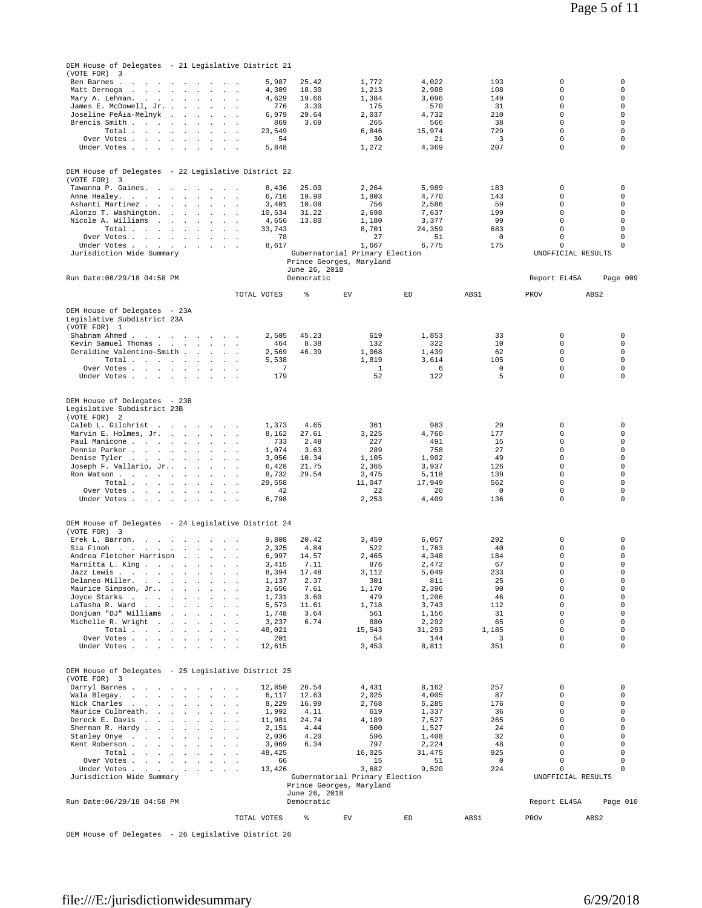| DEM House of Delegates - 21 Legislative District 21<br>(VOTE FOR)                                           |                                  |                             |                                |                            |                    |                                            |                            |
|-------------------------------------------------------------------------------------------------------------|----------------------------------|-----------------------------|--------------------------------|----------------------------|--------------------|--------------------------------------------|----------------------------|
| 3<br>Ben Barnes .<br>the contract of the contract of the con-                                               | 5,987                            | 25.42                       | 1,772                          | 4,022                      | 193                | 0                                          | 0                          |
| Matt Dernoga<br>the contract of the contract of the con-                                                    | 4,309                            | 18.30                       | 1,213                          | 2,988                      | 108                | 0                                          | $\Omega$                   |
| Mary A. Lehman.<br>James E. McDowell, Jr. .<br>$\sim 10^{-1}$<br>$\sim$<br>$\sim$ $\sim$                    | 4,629<br>776<br>$\sim$           | 19.66<br>3.30               | 1,384<br>175                   | 3,096<br>570               | 149<br>31          | $\circ$<br>$\circ$                         | $\mathbf 0$<br>0           |
| Joseline Peıa-Melnyk<br>the company of the company of                                                       | 6,979                            | 29.64                       | 2,037                          | 4,732                      | 210                | $\mathsf{O}\xspace$                        | $\mathbf 0$                |
| Brencis Smith<br>$\sim$ 100 $\sim$                                                                          | 869                              | 3.69                        | 265                            | 566                        | 38                 | $\circ$                                    | $\mathbf 0$                |
| Total<br>$\sim$<br>Over Votes                                                                               | 23,549<br>54                     |                             | 6,846<br>30                    | 15,974<br>21               | 729<br>3           | $\circ$<br>0                               | 0<br>$\mathbf 0$           |
| Under Votes<br>$\ddot{\phantom{0}}$<br>$\ddot{\phantom{a}}$                                                 | 5,848                            |                             | 1,272                          | 4,369                      | 207                | $\mathsf{O}\xspace$                        | $\mathbf 0$                |
|                                                                                                             |                                  |                             |                                |                            |                    |                                            |                            |
| DEM House of Delegates - 22 Legislative District 22                                                         |                                  |                             |                                |                            |                    |                                            |                            |
| (VOTE FOR) 3<br>Tawanna P. Gaines.                                                                          |                                  |                             |                                |                            |                    |                                            | 0                          |
| Anne Healey.                                                                                                | 8,436<br>6,716                   | 25.00<br>19.90              | 2,264<br>1,803                 | 5,989<br>4,770             | 183<br>143         | 0<br>$\circ$                               | 0                          |
| Ashanti Martinez                                                                                            | 3,401                            | 10.08                       | 756                            | 2,586                      | 59                 | $\circ$                                    | 0                          |
| Alonzo T. Washington. .<br>$\sim$ $\sim$<br>$\ddot{\phantom{a}}$                                            | 10,534                           | 31.22                       | 2,698                          | 7,637                      | 199<br>99          | $\mathsf{O}\xspace$<br>$\Omega$            | $\mathbf 0$<br>$\Omega$    |
| Nicole A. Williams<br>the contract of the contract of<br>Total                                              | 4,656<br>33,743                  | 13.80                       | 1,180<br>8,701                 | 3,377<br>24,359            | 683                | $\circ$                                    | 0                          |
| Over Votes<br>$\sim$ $\sim$                                                                                 | 78                               |                             | 27                             | 51                         | 0                  | 0                                          | 0                          |
| Under Votes                                                                                                 | 8,617                            |                             | 1,667                          | 6,775                      | 175                | $\mathsf{O}\xspace$                        | $\mathbf 0$                |
| Jurisdiction Wide Summary                                                                                   |                                  | Prince Georges, Maryland    | Gubernatorial Primary Election |                            |                    | UNOFFICIAL RESULTS                         |                            |
|                                                                                                             |                                  | June 26, 2018               |                                |                            |                    |                                            |                            |
| Run Date: 06/29/18 04:58 PM                                                                                 |                                  | Democratic                  |                                |                            |                    | Report EL45A                               | Page 009                   |
|                                                                                                             | TOTAL VOTES                      | ి                           | EV                             | ED                         | ABS1               | PROV                                       | ABS <sub>2</sub>           |
| DEM House of Delegates - 23A                                                                                |                                  |                             |                                |                            |                    |                                            |                            |
| Legislative Subdistrict 23A                                                                                 |                                  |                             |                                |                            |                    |                                            |                            |
| (VOTE FOR) 1<br>Shabnam Ahmed                                                                               | 2,505                            | 45.23                       | 619                            | 1,853                      | 33                 | $\circ$                                    | 0                          |
| Kevin Samuel Thomas<br>$\sim$<br>$\sim 10^{-1}$                                                             | 464<br>$\mathbf{r}$              | 8.38                        | 132                            | 322                        | 10                 | $\circ$                                    | 0                          |
| Geraldine Valentino-Smith                                                                                   | 2,569                            | 46.39                       | 1,068                          | 1,439                      | 62                 | $\circ$                                    | $\mathbf 0$                |
| Total<br>Over Votes                                                                                         | 5,538<br>7                       |                             | 1,819<br>$\mathbf{1}$          | 3,614<br>6                 | 105<br>$\mathbf 0$ | $\circ$<br>$\circ$                         | $\circ$<br>$\mathbf 0$     |
| Under Votes                                                                                                 | 179                              |                             | 52                             | 122                        | 5                  | $\circ$                                    | 0                          |
|                                                                                                             |                                  |                             |                                |                            |                    |                                            |                            |
| DEM House of Delegates - 23B                                                                                |                                  |                             |                                |                            |                    |                                            |                            |
| Legislative Subdistrict 23B<br>(VOTE FOR) 2                                                                 |                                  |                             |                                |                            |                    |                                            |                            |
| Caleb L. Gilchrist                                                                                          | 1,373                            | 4.65                        | 361                            | 983                        | 29                 | 0                                          | 0                          |
| Marvin E. Holmes, Jr.<br><b>Service</b>                                                                     | 8,162<br>$\cdot$                 | 27.61                       | 3,225                          | 4,760                      | 177                | $\circ$                                    | 0                          |
| Paul Manicone<br>Pennie Parker<br>$\sim$<br>$\sim$                                                          | 733<br>1,074                     | 2.48<br>3.63                | 227<br>289                     | 491<br>758                 | 15<br>27           | 0<br>$\mathsf{O}\xspace$                   | 0<br>0                     |
| Denise Tyler<br>and the contract of the state                                                               | 3,056                            | 10.34                       | 1,105                          | 1,902                      | 49                 | $\circ$                                    | 0                          |
| Joseph F. Vallario, Jr                                                                                      | 6,428<br>$\sim$                  | 21.75                       | 2,365                          | 3,937                      | 126                | $\circ$                                    | 0                          |
| Ron Watson<br>$\sim$<br>Total $\cdots$ $\cdots$ $\cdots$                                                    | 8,732<br>29,558                  | 29.54                       | 3,475<br>11,047                | 5,118<br>17,949            | 139<br>562         | 0<br>$\circ$                               | 0<br>$\mathbf 0$           |
| Over Votes<br>$\sim$                                                                                        | 42                               |                             | 22                             | 20                         | 0                  | $\mathsf{O}\xspace$                        | $\mathbf 0$                |
| Under Votes                                                                                                 | 6,798                            |                             | 2,253                          | 4,409                      | 136                | $\circ$                                    | $\mathbf 0$                |
|                                                                                                             |                                  |                             |                                |                            |                    |                                            |                            |
| DEM House of Delegates - 24 Legislative District 24                                                         |                                  |                             |                                |                            |                    |                                            |                            |
| (VOTE FOR) 3<br>Erek L. Barron.                                                                             | 9,808                            | 20.42                       | 3,459                          | 6,057                      | 292                | 0                                          | 0                          |
| Sia Finoh<br>$\sim$ $\sim$                                                                                  | 2,325                            | 4.84                        | 522                            | 1,763                      | 40                 | $\mathsf{O}\xspace$                        | 0                          |
| Andrea Fletcher Harrison<br><b>Carl Contract Contract</b><br>$\sim$<br>Marnitta L. King                     | 6,997<br>3,415                   | 14.57<br>7.11               | 2,465<br>876                   | 4,348<br>2,472             | 184<br>67          | $\mathsf{O}\xspace$<br>0                   | $\mathbf 0$<br>$\mathbf 0$ |
| $\cdot$<br>Jazz Lewis.                                                                                      | 8,394                            | 17.48                       | 3,112                          | 5,049                      | 233                | 0                                          | $\mathbf 0$                |
| Delaneo Miller.<br>$\sim$<br>$\ddot{\phantom{a}}$                                                           | 1,137                            | 2.37                        | 301                            | 811                        | 25                 | 0                                          | 0                          |
| Maurice Simpson, Jr<br>and a state of the state of<br>Joyce Starks .                                        | 3,656<br>1,731                   | 7.61<br>3.60                | 1,170<br>479                   | 2,396<br>1,206             | 90<br>46           | $\mathsf{O}\xspace$<br>$\mathsf{O}\xspace$ | $\mathbf 0$<br>0           |
| LaTasha R. Ward<br>$\sim$ $\sim$                                                                            | 5,573                            | 11.61                       | 1,718                          | 3,743                      | 112                | $\circ$                                    | $\mathbf 0$                |
| Donjuan "DJ" Williams<br>the contract of the contract of                                                    | 1,748                            | 3.64                        | 561                            | 1,156                      | 31                 | $\circ$                                    | $\mathbf 0$                |
| Michelle R. Wright<br>the contract of the con-<br>$\sim$ 10<br>Total                                        | 3,237<br>48,021                  | 6.74                        | 880<br>15,543                  | 2,292<br>31,293            | 65<br>1,185        | $\mathsf{O}\xspace$<br>$\circ$             | 0<br>$\mathbf 0$           |
| Over Votes                                                                                                  | 201<br>$\sim$                    |                             | 54                             | 144                        | 3                  | $\circ$                                    | $\mathbf 0$                |
| Under Votes                                                                                                 | 12,615<br>$\sim$                 |                             | 3,453                          | 8,811                      | 351                | $\circ$                                    | $\mathbf 0$                |
|                                                                                                             |                                  |                             |                                |                            |                    |                                            |                            |
| DEM House of Delegates - 25 Legislative District 25<br>(VOTE FOR) 3                                         |                                  |                             |                                |                            |                    |                                            |                            |
| Darryl Barnes                                                                                               | 12,850                           | 26.54                       | 4,431                          | 8,162                      | 257                | 0                                          | 0                          |
| Wala Blegay.                                                                                                | 6,117                            | 12.63                       | 2,025                          | 4,005                      | 87                 | $\Omega$                                   | $\mathbf 0$                |
| Nick Charles<br>Maurice Culbreath.<br>$\mathbf{r} = \mathbf{r}$<br>$\sim$<br>$\sim$<br>$\ddot{\phantom{a}}$ | 8,229<br>1,992<br>$\overline{a}$ | 16.99<br>4.11               | 2,768<br>619                   | 5,285<br>1,337             | 176<br>36          | $\circ$<br>$\circ$                         | $\mathbf 0$<br>0           |
| Dereck E. Davis .<br>the contract of the contract of the                                                    | 11,981                           | 24.74                       | 4,189                          | 7,527                      | 265                | $\mathsf{O}\xspace$                        | $\mathbf 0$                |
| Sherman R. Hardy.<br>and a strategic and a<br>$\sim$ 100                                                    | 2,151<br>2,036                   | 4.44<br>4.20                | 600<br>596                     | 1,527                      | 24<br>32           | $\circ$<br>$\circ$                         | $\mathbf 0$<br>$\mathbf 0$ |
| Stanley Onye<br>$\sim$<br>Kent Roberson                                                                     | 3,069                            | 6.34                        | 797                            | 1,408<br>2,224             | 48                 | $\circ$                                    | 0                          |
| Total<br>$\sim$                                                                                             | 48,425                           |                             | 16,025                         | 31,475                     | 925                | $\mathsf{O}\xspace$                        | 0                          |
| Over Votes<br>Under Votes<br>$\sim 10^{-1}$                                                                 | 66<br>13,426<br>$\sim$           |                             | 15<br>3,682                    | 51<br>9,520                | 0<br>224           | $\mathsf{O}\xspace$<br>$\circ$             | $\mathbf 0$<br>$\Omega$    |
| Jurisdiction Wide Summary                                                                                   |                                  |                             | Gubernatorial Primary Election |                            |                    | UNOFFICIAL RESULTS                         |                            |
|                                                                                                             |                                  | Prince Georges, Maryland    |                                |                            |                    |                                            |                            |
| Run Date: 06/29/18 04:58 PM                                                                                 |                                  | June 26, 2018<br>Democratic |                                |                            |                    | Report EL45A                               | Page 010                   |
|                                                                                                             |                                  |                             |                                |                            |                    |                                            |                            |
|                                                                                                             | TOTAL VOTES                      | ి                           | EV                             | $\mathop{\rm ED}\nolimits$ | ABS1               | PROV                                       | ABS <sub>2</sub>           |

DEM House of Delegates - 26 Legislative District 26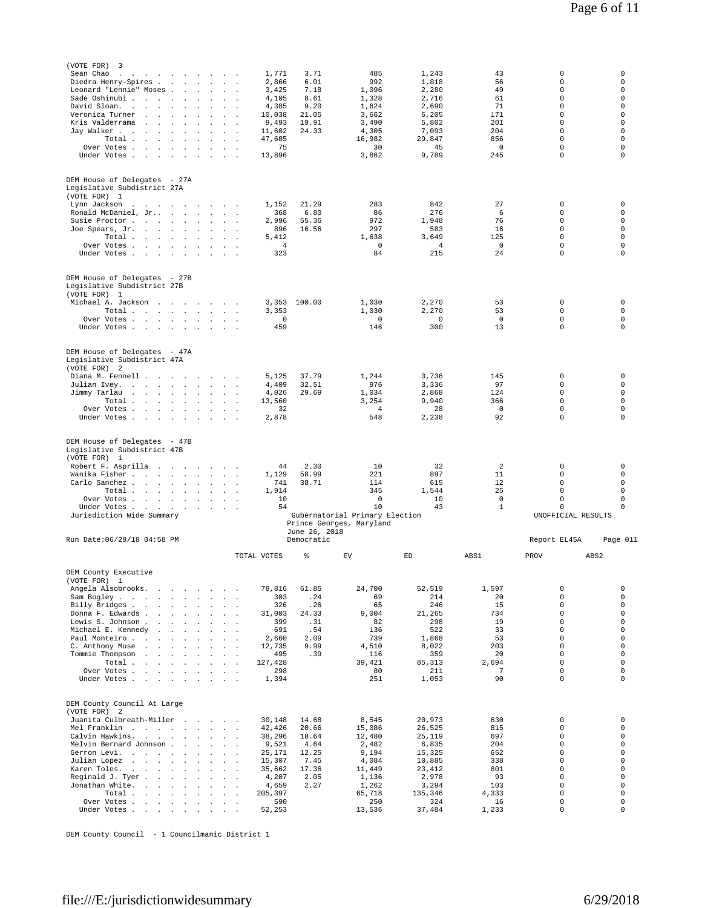| (VOTE FOR)<br>3<br>Sean Chao<br>$\ddot{\phantom{a}}$<br>the contract of the contract of the |                                                                          |                                                                             | 1,771                                                            | 3.71                        | 485                            | 1,243                | 43                       | 0                               | 0                          |
|---------------------------------------------------------------------------------------------|--------------------------------------------------------------------------|-----------------------------------------------------------------------------|------------------------------------------------------------------|-----------------------------|--------------------------------|----------------------|--------------------------|---------------------------------|----------------------------|
| Diedra Henry-Spires .                                                                       | <b>Contract Contract</b><br>$\sim$                                       | $\sim$<br>$\sim$                                                            | 2,866                                                            | 6.01                        | 992                            | 1,818                | 56                       | 0                               | 0                          |
| Leonard "Lennie" Moses.<br>Sade Oshinubi                                                    | $\ddot{\phantom{a}}$<br>$\mathbf{r}$                                     | $\overline{a}$                                                              | 3,425<br>4,105                                                   | 7.18<br>8.61                | 1,096<br>1,328                 | 2,280<br>2.716       | 49<br>61                 | 0<br>$\circ$                    | 0<br>$\mathbf 0$           |
| David Sloan.                                                                                | $\sim$<br>$\overline{a}$                                                 | $\overline{a}$<br>$\sim$                                                    | 4,385<br>$\overline{\phantom{a}}$                                | 9.20                        | 1,624                          | 2,690                | 71                       | $\circ$                         | $\Omega$                   |
| Veronica Turner<br><b>Sales Street</b><br>Kris Valderrama                                   | $\mathbf{r}$<br>$\ddot{\phantom{a}}$                                     | $\overline{a}$<br>$\mathbf{r}$<br>$\sim$                                    | 10,038<br>9,493<br>n.                                            | 21.05<br>19.91              | 3,662<br>3,490                 | 6,205<br>5,802       | 171<br>201               | $\circ$<br>$\circ$              | 0<br>0                     |
| Jay Walker<br>$\ddot{\phantom{a}}$<br>$\sim$                                                | $\sim$                                                                   |                                                                             | 11,602                                                           | 24.33                       | 4,305                          | 7,093                | 204                      | $\mathsf{O}\xspace$             | $\mathbf 0$                |
| Total                                                                                       | $\cdot$                                                                  | $\ddot{\phantom{a}}$                                                        | 47,685                                                           |                             | 16,982                         | 29,847               | 856                      | $\circ$                         | $\Omega$                   |
| Over Votes<br>Under Votes                                                                   |                                                                          | $\mathcal{L}_{\bullet}$<br>$\ddot{\phantom{a}}$<br>$\sim$                   | 75<br>$\ddot{\phantom{a}}$<br>13,896<br>$\overline{\phantom{a}}$ |                             | 30<br>3,862                    | 45<br>9,789          | $\mathbf 0$<br>245       | $\circ$<br>0                    | 0<br>0                     |
|                                                                                             |                                                                          |                                                                             |                                                                  |                             |                                |                      |                          |                                 |                            |
| DEM House of Delegates - 27A                                                                |                                                                          |                                                                             |                                                                  |                             |                                |                      |                          |                                 |                            |
| Legislative Subdistrict 27A                                                                 |                                                                          |                                                                             |                                                                  |                             |                                |                      |                          |                                 |                            |
| (VOTE FOR) 1<br>Lynn Jackson                                                                |                                                                          |                                                                             | 1,152                                                            | 21.29                       | 283                            | 842                  | 27                       | $\circ$                         | $\circ$                    |
| the contract of the contract of the con-<br>Ronald McDaniel, Jr                             |                                                                          | $\sim 10^{-1}$                                                              | 368                                                              | 6.80                        | 86                             | 276                  | 6                        | $\circ$                         | $\mathbf 0$                |
| Susie Proctor                                                                               | $\sim$                                                                   | $\cdot$                                                                     | 2,996                                                            | 55.36                       | 972                            | 1,948                | 76                       | $\circ$                         | $\circ$                    |
| Joe Spears, Jr.<br>Total .<br><b>Contract Contract</b>                                      | $\sim 10^{-1}$<br>$\ddot{\phantom{0}}$                                   | $\ddot{\phantom{a}}$<br>$\sim$ 100 $\sim$<br>$\ddot{\phantom{a}}$<br>$\sim$ | 896<br>$\sim$<br>5,412                                           | 16.56                       | 297<br>1,638                   | 583<br>3,649         | 16<br>125                | $\circ$<br>$\circ$              | $\mathbf 0$<br>0           |
| Over Votes                                                                                  |                                                                          | $\cdot$<br>$\sim$                                                           | $\overline{4}$                                                   |                             | $^{\circ}$                     | 4                    | $\mathbf 0$              | $\circ$                         | 0                          |
| Under Votes                                                                                 |                                                                          | $\sim$ $\sim$                                                               | 323                                                              |                             | 84                             | 215                  | 24                       | $\mathbf 0$                     | 0                          |
|                                                                                             |                                                                          |                                                                             |                                                                  |                             |                                |                      |                          |                                 |                            |
| DEM House of Delegates - 27B                                                                |                                                                          |                                                                             |                                                                  |                             |                                |                      |                          |                                 |                            |
| Legislative Subdistrict 27B<br>(VOTE FOR) 1                                                 |                                                                          |                                                                             |                                                                  |                             |                                |                      |                          |                                 |                            |
| Michael A. Jackson                                                                          | the control of the control of                                            | $\sim$                                                                      | 3,353                                                            | 100.00                      | 1,030                          | 2,270                | 53                       | $\mathsf{O}\xspace$             | 0                          |
| Total<br>Over Votes                                                                         |                                                                          | <b>Contractor</b><br>$\sim$ 100 $\sim$                                      | 3,353<br>$\circ$<br>$\overline{\phantom{a}}$                     |                             | 1,030<br>$^{\circ}$            | 2,270<br>$\mathbf 0$ | 53<br>$^{\circ}$         | $\circ$<br>$\circ$              | $\circ$<br>$\mathbf 0$     |
| Under Votes.                                                                                | the contract of the contract of the                                      | $\sim$                                                                      | 459                                                              |                             | 146                            | 300                  | 13                       | $\circ$                         | 0                          |
|                                                                                             |                                                                          |                                                                             |                                                                  |                             |                                |                      |                          |                                 |                            |
| DEM House of Delegates - 47A                                                                |                                                                          |                                                                             |                                                                  |                             |                                |                      |                          |                                 |                            |
| Legislative Subdistrict 47A                                                                 |                                                                          |                                                                             |                                                                  |                             |                                |                      |                          |                                 |                            |
| (VOTE FOR) 2<br>Diana M. Fennell                                                            |                                                                          |                                                                             | 5,125                                                            | 37.79                       | 1,244                          | 3,736                | 145                      | $\circ$                         | $\circ$                    |
| Julian Ivey.                                                                                | $\sim$<br>$\sim$ $\sim$                                                  | $\sim$                                                                      | 4,409                                                            | 32.51                       | 976                            | 3,336                | 97                       | $\circ$                         | 0                          |
| Jimmy Tarlau<br>and the state of the state<br>Total                                         | $\sim$<br>$\mathbf{r}$                                                   | $\cdot$<br>$\sim$ $\sim$ $\sim$                                             | 4,026<br>13,560                                                  | 29.69                       | 1,034<br>3,254                 | 2,868<br>9,940       | 124<br>366               | $\circ$<br>$\mathsf{O}\xspace$  | 0<br>$\mathbf 0$           |
| Over Votes                                                                                  |                                                                          | $\ddot{\phantom{a}}$<br>$\sim$                                              | 32                                                               |                             | $\overline{4}$                 | 28                   | $\mathsf 0$              | $\circ$                         | $\mathbf 0$                |
| Under Votes                                                                                 |                                                                          |                                                                             | 2,878                                                            |                             | 548                            | 2,238                | 92                       | 0                               | 0                          |
|                                                                                             |                                                                          |                                                                             |                                                                  |                             |                                |                      |                          |                                 |                            |
| DEM House of Delegates - 47B                                                                |                                                                          |                                                                             |                                                                  |                             |                                |                      |                          |                                 |                            |
| Legislative Subdistrict 47B<br>(VOTE FOR) 1                                                 |                                                                          |                                                                             |                                                                  |                             |                                |                      |                          |                                 |                            |
| Robert F. Asprilla                                                                          |                                                                          |                                                                             | 44                                                               | 2.30                        | 10                             | 32                   | $\overline{a}$           | $\mathsf{O}\xspace$             | 0                          |
| Wanika Fisher<br>Carlo Sanchez                                                              | <b>Service</b><br>$\sim$                                                 | $\sim$<br>$\cdot$<br>$\sim$                                                 | 1,129<br>741<br>$\sim$                                           | 58.99<br>38.71              | 221<br>114                     | 897<br>615           | 11<br>12                 | $\circ$<br>$\circ$              | $\mathbf 0$<br>0           |
| Total                                                                                       |                                                                          |                                                                             | 1,914<br>$\sim$                                                  |                             | 345                            | 1,544                | 25                       | $\mathsf{O}\xspace$             | 0                          |
| Over Votes .<br><b>Service</b>                                                              | $\sim$<br>$\sim$                                                         |                                                                             | 10<br>54                                                         |                             | 0<br>10                        | 10<br>43             | $\circ$<br>$\mathbf{1}$  | $\mathsf{O}\xspace$<br>$\circ$  | $\mathbf 0$<br>$\Omega$    |
| Under Votes<br>Jurisdiction Wide Summary                                                    | and a state of the                                                       | $\cdot$                                                                     |                                                                  |                             | Gubernatorial Primary Election |                      |                          | UNOFFICIAL RESULTS              |                            |
|                                                                                             |                                                                          |                                                                             |                                                                  |                             | Prince Georges, Maryland       |                      |                          |                                 |                            |
| Run Date: 06/29/18 04:58 PM                                                                 |                                                                          |                                                                             |                                                                  | June 26, 2018<br>Democratic |                                |                      |                          | Report EL45A                    | Page 011                   |
|                                                                                             |                                                                          |                                                                             |                                                                  |                             |                                |                      |                          |                                 |                            |
|                                                                                             |                                                                          |                                                                             | TOTAL VOTES                                                      | ిం                          | EV                             | ED                   | ABS1                     | PROV                            | ABS <sub>2</sub>           |
| DEM County Executive                                                                        |                                                                          |                                                                             |                                                                  |                             |                                |                      |                          |                                 |                            |
| (VOTE FOR)<br>$\mathbf{1}$<br>Angela Alsobrooks.                                            | the contract of the contract of                                          |                                                                             | 78,816                                                           | 61.85                       | 24,700                         | 52,519               | 1,597                    | 0                               | 0                          |
| Sam Bogley                                                                                  |                                                                          | $\mathbf{r}$<br>$\sim$                                                      | 303                                                              | .24                         | 69                             | 214                  | 20                       | $\mathbf 0$                     | $\mathbf 0$                |
| Billy Bridges .<br>the contract of the contract<br>Donna F. Edwards                         | $\sim$                                                                   |                                                                             | 326<br>31,003                                                    | .26<br>24.33                | 65<br>9.004                    | 246<br>21,265        | 15<br>734                | $\mathsf{O}\xspace$<br>$\Omega$ | $\mathsf 0$<br>$\mathbf 0$ |
| Lewis S. Johnson                                                                            |                                                                          | $\sim$                                                                      | 399<br>$\sim$                                                    | .31                         | 82                             | 298                  | 19                       | $\circ$                         | $\mathbf 0$                |
| Michael E. Kennedy<br>$\sim$ $\sim$                                                         | <b>Sales Street</b>                                                      | $\overline{a}$                                                              | 691                                                              | .54                         | 136                            | 522                  | 33                       | $\circ$                         | $\mathbf 0$                |
| Paul Monteiro<br>C. Anthony Muse                                                            | the contract of the contract of the                                      | $\mathbf{L} = \mathbf{L} \times \mathbf{L}$<br>$\sim$                       | 2,660<br>12,735<br>$\sim$                                        | 2.09<br>9.99                | 739<br>4,510                   | 1,868<br>8,022       | 53<br>203                | $\circ$<br>$\circ$              | $\mathbf 0$<br>$\mathbf 0$ |
| Tommie Thompson<br>and the company                                                          | $\sim$                                                                   | $\cdot$<br>$\sim$                                                           | 495<br>$\overline{\phantom{a}}$                                  | .39                         | 116                            | 359                  | 20                       | $\circ$                         | $\mathbf 0$                |
| Total.<br>Over Votes .<br><b>Service Control</b>                                            | the company of the company of the company of<br>$\sim 10^{-1}$<br>$\sim$ | $\ddot{\phantom{a}}$                                                        | 127,428<br>298                                                   |                             | 39,421<br>80                   | 85,313<br>211        | 2,694<br>$7\phantom{.0}$ | $\circ$<br>$\mathsf{O}\xspace$  | $\mathbf 0$<br>$\mathsf 0$ |
| Under Votes                                                                                 |                                                                          |                                                                             | 1,394                                                            |                             | 251                            | 1,053                | 90                       | $\Omega$                        | $\Omega$                   |
|                                                                                             |                                                                          |                                                                             |                                                                  |                             |                                |                      |                          |                                 |                            |
| DEM County Council At Large                                                                 |                                                                          |                                                                             |                                                                  |                             |                                |                      |                          |                                 |                            |
| (VOTE FOR) 2                                                                                |                                                                          |                                                                             |                                                                  |                             |                                |                      |                          |                                 |                            |
| Juanita Culbreath-Miller<br>Mel Franklin                                                    | and the state of the state of the state of                               |                                                                             | 30,148<br>42,426                                                 | 14.68<br>20.66              | 8,545<br>15,086                | 20,973<br>26,525     | 630<br>815               | $\circ$<br>$\circ$              | $\mathbf 0$<br>$\mathbf 0$ |
| Calvin Hawkins.                                                                             |                                                                          | $\sim$                                                                      | 38,296                                                           | 18.64                       | 12,480                         | 25,119               | 697                      | $\mathsf{O}\xspace$             | $\mathbb O$                |
| Melvin Bernard Johnson                                                                      |                                                                          | $\sim$ 100 $\mu$                                                            | 9,521<br>$\mathbf{r}$                                            | 4.64                        | 2,482                          | 6,835                | 204                      | $\circ$<br>0                    | $\mathbf 0$<br>$\mathbf 0$ |
| Gerron Levi.<br>the contract of the contract of the<br>Julian Lopez                         | $\sim$                                                                   | $\sim$<br>$\sim$<br>$\overline{a}$                                          | 25,171<br>$\sim$<br>15,307                                       | 12.25<br>7.45               | 9,194<br>4,084                 | 15,325<br>10,885     | 652<br>338               | $\mathbf 0$                     | $\mathbf 0$                |
| Karen Toles.                                                                                |                                                                          | $\sim$<br>$\sim$ $\sim$                                                     | 35,662                                                           | 17.36                       | 11,449                         | 23,412               | 801                      | $\circ$                         | $\mathbf 0$                |
| Reginald J. Tyer<br>Jonathan White.<br><b>Contract Contract</b>                             | $\sim$<br>$\sim$                                                         | $\mathbf{r}$<br>$\sim$<br>$\cdot$<br>$\sim$                                 | 4,207<br>$\sim$<br>4,659<br>$\sim$                               | 2.05<br>2.27                | 1,136<br>1,262                 | 2,978<br>3,294       | 93<br>103                | $\mathbf 0$<br>$\circ$          | $\mathbf 0$<br>$\mathbf 0$ |
| Total                                                                                       |                                                                          |                                                                             | 205,397<br>$\sim$                                                |                             | 65,718                         | 135,346              | 4,333                    | $\circ$                         | $\mathbf 0$                |
| Over Votes .<br><b>Carl Contract</b>                                                        | $\sim$ $\sim$                                                            | $\mathcal{L}_{\mathbf{z}}$                                                  | 590                                                              |                             | 250                            | 324                  | 16                       | $\mathsf{O}\xspace$             | 0                          |
| Under Votes                                                                                 |                                                                          |                                                                             | 52,253                                                           |                             | 13,536                         | 37,484               | 1,233                    | $\circ$                         | $\mathbf 0$                |
|                                                                                             |                                                                          |                                                                             |                                                                  |                             |                                |                      |                          |                                 |                            |

DEM County Council - 1 Councilmanic District 1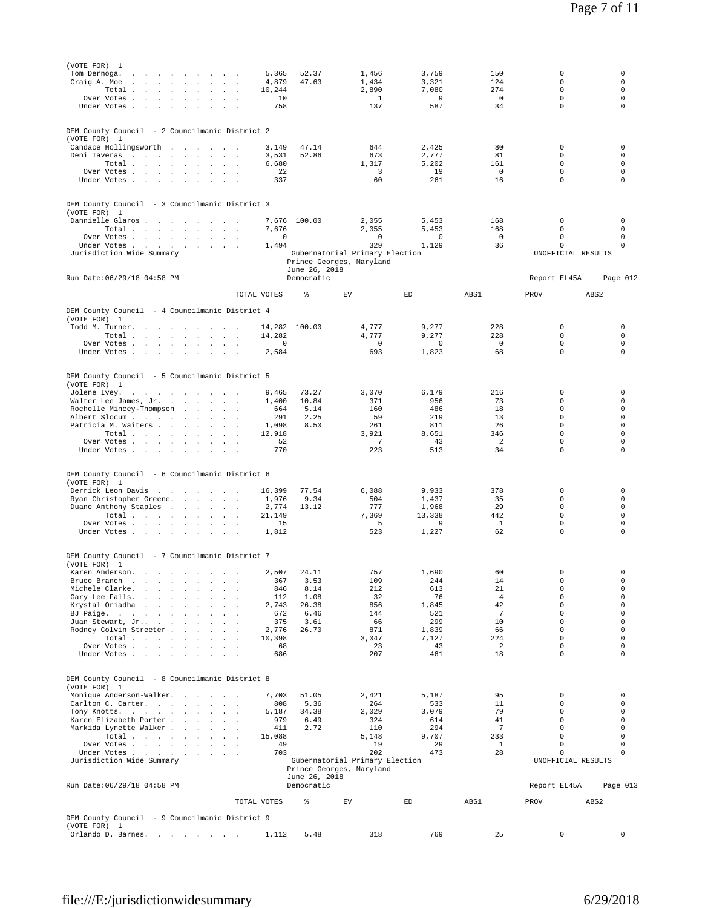| (VOTE FOR) 1                                                                                                                        |                                          |                |                                |                            |                        |                                |                            |
|-------------------------------------------------------------------------------------------------------------------------------------|------------------------------------------|----------------|--------------------------------|----------------------------|------------------------|--------------------------------|----------------------------|
| Tom Dernoga.<br>the contract of the contract of the<br>Craig A. Moe<br>$\sim 10^{-1}$<br>the contract of the contract of<br>$\sim$  | 5,365<br>4,879<br>$\sim$                 | 52.37<br>47.63 | 1,456<br>1,434                 | 3,759<br>3,321             | 150<br>124             | 0<br>$\circ$                   | 0<br>0                     |
| Total $\cdots$ $\cdots$ $\cdots$                                                                                                    | 10,244                                   |                | 2,890                          | 7,080                      | 274                    | $\circ$                        | $\mathbf 0$                |
| Over Votes<br>$\sim$                                                                                                                | 10                                       |                | $\mathbf{1}$                   | 9                          | $\mathbb O$            | $\circ$                        | $\mathbf 0$                |
| Under Votes                                                                                                                         | 758                                      |                | 137                            | 587                        | 34                     | $\circ$                        | $\mathbf 0$                |
| DEM County Council - 2 Councilmanic District 2                                                                                      |                                          |                |                                |                            |                        |                                |                            |
| (VOTE FOR) 1                                                                                                                        |                                          |                |                                |                            |                        |                                |                            |
| Candace Hollingsworth                                                                                                               | 3,149                                    | 47.14          | 644                            | 2,425                      | 80                     | 0                              | 0                          |
| Deni Taveras<br>Total                                                                                                               | 3,531<br>6,680                           | 52.86          | 673<br>1,317                   | 2,777<br>5,202             | 81<br>161              | $\circ$<br>$\circ$             | $\mathbf 0$<br>$\circ$     |
| Over Votes<br><b>Contract</b>                                                                                                       | 22<br>$\overline{\phantom{a}}$           |                | 3                              | 19                         | $\mathbf 0$            | $\circ$                        | $\circ$                    |
| Under Votes                                                                                                                         | 337                                      |                | 60                             | 261                        | 16                     | $\mathbf 0$                    | $\circ$                    |
|                                                                                                                                     |                                          |                |                                |                            |                        |                                |                            |
| DEM County Council - 3 Councilmanic District 3                                                                                      |                                          |                |                                |                            |                        |                                |                            |
| (VOTE FOR) 1                                                                                                                        |                                          |                |                                |                            |                        |                                |                            |
| Dannielle Glaros<br>Total                                                                                                           | 7,676<br>7,676                           | 100.00         | 2,055<br>2,055                 | 5,453<br>5,453             | 168<br>168             | 0<br>$\circ$                   | 0<br>$\circ$               |
| Over Votes                                                                                                                          | $^{\circ}$                               |                | $^{\circ}$                     | $\mathbf 0$                | $\overline{0}$         | $\circ$                        | 0                          |
| Under Votes                                                                                                                         | 1,494                                    |                | 329                            | 1,129                      | 36                     | $\mathsf{O}\xspace$            | $\mathbf 0$                |
| Jurisdiction Wide Summary                                                                                                           |                                          |                | Gubernatorial Primary Election |                            |                        | UNOFFICIAL RESULTS             |                            |
|                                                                                                                                     |                                          | June 26, 2018  | Prince Georges, Maryland       |                            |                        |                                |                            |
| Run Date: 06/29/18 04:58 PM                                                                                                         |                                          | Democratic     |                                |                            |                        | Report EL45A                   | Page 012                   |
|                                                                                                                                     |                                          |                |                                |                            |                        |                                |                            |
|                                                                                                                                     | TOTAL VOTES                              | ి              | EV                             | ED                         | ABS1                   | PROV                           | ABS <sub>2</sub>           |
| DEM County Council - 4 Councilmanic District 4                                                                                      |                                          |                |                                |                            |                        |                                |                            |
| (VOTE FOR) 1                                                                                                                        |                                          |                |                                |                            |                        |                                |                            |
| Todd M. Turner.<br>the company of the company of the<br>Total $\cdots$ $\cdots$ $\cdots$<br>$\sim$                                  | 14,282<br>14,282                         | 100.00         | 4,777<br>4,777                 | 9,277<br>9,277             | 228<br>228             | $\circ$<br>$\circ$             | $\mathsf 0$<br>$\mathsf 0$ |
| Over Votes                                                                                                                          | $^{\circ}$                               |                | $\overline{0}$                 | $^{\circ}$                 | $\overline{0}$         | $\mathbf 0$                    | $\circ$                    |
| Under Votes                                                                                                                         | 2,584<br>$\sim$ $\sim$                   |                | 693                            | 1,823                      | 68                     | $\mathbf 0$                    | $\mathbf 0$                |
|                                                                                                                                     |                                          |                |                                |                            |                        |                                |                            |
| DEM County Council - 5 Councilmanic District 5                                                                                      |                                          |                |                                |                            |                        |                                |                            |
| (VOTE FOR) 1                                                                                                                        |                                          |                |                                |                            |                        |                                |                            |
| Jolene Ivey.<br>Walter Lee James, Jr.                                                                                               | 9,465<br>1,400                           | 73.27<br>10.84 | 3,070<br>371                   | 6,179<br>956               | 216<br>73              | 0<br>$\circ$                   | 0<br>$\circ$               |
| Rochelle Mincey-Thompson<br>and the company of the state of                                                                         | 664                                      | 5.14           | 160                            | 486                        | 18                     | $\circ$                        | $\circ$                    |
| Albert Slocum                                                                                                                       | 291                                      | 2.25           | 59                             | 219                        | 13                     | $\circ$                        | $\circ$                    |
| Patricia M. Waiters<br>$\sim$<br>Total $\cdots$ $\cdots$ $\cdots$                                                                   | 1,098<br>12,918                          | 8.50           | 261<br>3,921                   | 811<br>8,651               | 26<br>346              | $\mathsf{O}\xspace$<br>$\circ$ | $\circ$<br>$\Omega$        |
| Over Votes<br>$\sim 10^{-1}$                                                                                                        | 52<br>$\overline{\phantom{a}}$           |                | 7                              | 43                         | 2                      | $\circ$                        | $\mathbf 0$                |
| Under Votes                                                                                                                         | 770<br>$\sim$                            |                | 223                            | 513                        | 34                     | $\circ$                        | 0                          |
|                                                                                                                                     |                                          |                |                                |                            |                        |                                |                            |
| DEM County Council - 6 Councilmanic District 6                                                                                      |                                          |                |                                |                            |                        |                                |                            |
| (VOTE FOR) 1                                                                                                                        |                                          |                |                                |                            |                        |                                |                            |
| Derrick Leon Davis                                                                                                                  | 16,399                                   | 77.54          | 6,088                          | 9,933                      | 378                    | 0<br>$\Omega$                  | $\mathsf 0$                |
| Ryan Christopher Greene.<br>Duane Anthony Staples                                                                                   | 1,976<br>2,774                           | 9.34<br>13.12  | 504<br>777                     | 1,437<br>1,968             | 35<br>29               | $\circ$                        | $\circ$<br>$\circ$         |
| Total $\cdots$ $\cdots$ $\cdots$                                                                                                    | 21,149                                   |                | 7,369                          | 13,338                     | 442                    | $\circ$                        | $\circ$                    |
| Over Votes                                                                                                                          | 15                                       |                | - 5                            | 9                          | <sup>1</sup>           | $\circ$                        | $\mathbf 0$                |
| Under Votes<br>$\mathcal{A}^{\mathcal{A}}$ and $\mathcal{A}^{\mathcal{A}}$<br>$\sim$                                                | 1,812<br>$\ddot{\phantom{a}}$            |                | 523                            | 1,227                      | 62                     | $\circ$                        | $\mathbf 0$                |
|                                                                                                                                     |                                          |                |                                |                            |                        |                                |                            |
| DEM County Council - 7 Councilmanic District 7                                                                                      |                                          |                |                                |                            |                        |                                |                            |
| (VOTE FOR) 1<br>Karen Anderson.<br>, where the contribution of the contribution $\mathcal{A}$                                       | 2,507                                    | 24.11          | 757                            | 1,690                      | 60                     | $\circ$                        | $\mathbf 0$                |
| Bruce Branch<br>the contract of the state<br>$\sim$                                                                                 | 367                                      | 3.53           | 109                            | 244                        | 14                     | 0                              | 0                          |
| Michele Clarke.<br>and the state of the state                                                                                       | 846                                      | 8.14           | 212                            | 613                        | 21                     | 0                              | $\mathbf 0$                |
| Gary Lee Falls.<br>$\sim$<br>$\sim$<br>$\sim$<br>$\sim$<br>Krystal Oriadha<br>and the state of the state<br>$\mathbf{r}$<br>$\cdot$ | 112<br>2,743<br>$\overline{\phantom{a}}$ | 1.08<br>26.38  | 32<br>856                      | 76<br>1,845                | $\overline{4}$<br>42   | $\mathsf{O}\xspace$<br>$\circ$ | $\mathsf 0$<br>$\mathbf 0$ |
| BJ Paige.<br>$\sim$                                                                                                                 | 672<br>$\sim$                            | 6.46           | 144                            | 521                        | 7                      | $\circ$                        | $\mathbf 0$                |
| Juan Stewart, Jr<br><b>Contract</b><br>$\sim$ $\sim$<br>$\cdot$                                                                     | 375                                      | 3.61           | 66                             | 299                        | 10                     | $\circ$                        | $\mathbf 0$                |
| Rodney Colvin Streeter<br>Total<br>$\sim$<br>$\sim 10^{-1}$                                                                         | 2,776<br>10,398                          | 26.70          | 871<br>3,047                   | 1,839<br>7,127             | 66<br>224              | $\circ$<br>$\circ$             | $\mathbf 0$<br>$\mathbf 0$ |
| Over Votes                                                                                                                          | 68                                       |                | 23                             | 43                         | $\overline{a}$         | $\circ$                        | $\mathbf 0$                |
| Under Votes                                                                                                                         | 686                                      |                | 207                            | 461                        | 18                     | $\circ$                        | $\mathbf 0$                |
|                                                                                                                                     |                                          |                |                                |                            |                        |                                |                            |
| DEM County Council - 8 Councilmanic District 8                                                                                      |                                          |                |                                |                            |                        |                                |                            |
| (VOTE FOR) 1                                                                                                                        |                                          |                |                                |                            |                        |                                |                            |
| Monique Anderson-Walker.<br>Carlton C. Carter.<br>$\sim$ 100 $\sim$                                                                 | 7,703<br>808<br>$\sim$                   | 51.05<br>5.36  | 2,421<br>264                   | 5,187<br>533               | 95<br>11               | 0<br>$\circ$                   | 0<br>0                     |
| Tony Knotts.<br>$\sim$                                                                                                              | 5,187                                    | 34.38          | 2,029                          | 3,079                      | 79                     | $\circ$                        | 0                          |
| Karen Elizabeth Porter                                                                                                              | 979                                      | 6.49           | 324                            | 614                        | 41                     | $\circ$                        | $\mathbf 0$                |
| Markida Lynette Walker<br>$\sim$<br>$\sim$                                                                                          | 411<br>15,088                            | 2.72           | 110                            | 294                        | $7\phantom{.0}$<br>233 | $\mathsf{O}\xspace$<br>$\circ$ | 0<br>$\mathbf 0$           |
| Total<br>Over Votes                                                                                                                 | 49                                       |                | 5,148<br>19                    | 9,707<br>29                | 1                      | 0                              | 0                          |
| Under Votes                                                                                                                         | 703                                      |                | 202                            | 473                        | 28                     | 0                              | 0                          |
| Jurisdiction Wide Summary                                                                                                           |                                          |                | Gubernatorial Primary Election |                            |                        | UNOFFICIAL RESULTS             |                            |
|                                                                                                                                     |                                          | June 26, 2018  | Prince Georges, Maryland       |                            |                        |                                |                            |
| Run Date: 06/29/18 04:58 PM                                                                                                         |                                          | Democratic     |                                |                            |                        | Report EL45A                   | Page 013                   |
|                                                                                                                                     | TOTAL VOTES                              | $\,$ $\,$      | ${\rm EV}$                     | $\mathop{\rm ED}\nolimits$ | ABS1                   | PROV                           | ABS <sub>2</sub>           |
|                                                                                                                                     |                                          |                |                                |                            |                        |                                |                            |
| DEM County Council - 9 Councilmanic District 9                                                                                      |                                          |                |                                |                            |                        |                                |                            |
| (VOTE FOR) 1<br>Orlando D. Barnes.                                                                                                  | 1,112                                    | 5.48           | 318                            | 769                        | 25                     | $\mathsf{O}\xspace$            | $\mathsf 0$                |
|                                                                                                                                     |                                          |                |                                |                            |                        |                                |                            |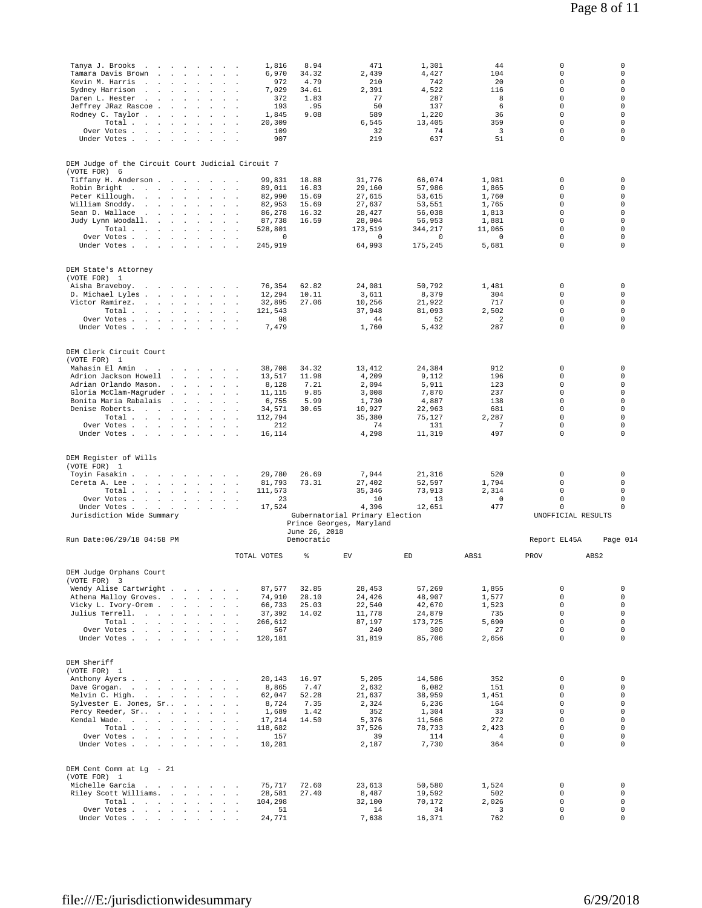| Tanya J. Brooks<br>$\ddot{\phantom{a}}$<br>and the control of the con-                                                                                                                     | 1,816                                                                               | 8.94           | 471                                      | 1,301                                      | 44                                      | $\circ$                                       | 0                                               |
|--------------------------------------------------------------------------------------------------------------------------------------------------------------------------------------------|-------------------------------------------------------------------------------------|----------------|------------------------------------------|--------------------------------------------|-----------------------------------------|-----------------------------------------------|-------------------------------------------------|
| Tamara Davis Brown<br>$\sim$<br>$\sim$<br>Kevin M. Harris<br>and the company of the company of                                                                                             | 6,970<br>$\mathbf{r}$<br>972<br>$\sim 10^{-1}$<br>÷.                                | 34.32<br>4.79  | 2,439<br>210                             | 4,427<br>742                               | 104<br>20                               | $\circ$<br>$\circ$                            | 0<br>0                                          |
| Sydney Harrison<br>$\sim$<br>$\sim$<br>$\sim$                                                                                                                                              | 7,029                                                                               | 34.61          | 2,391                                    | 4,522                                      | 116                                     | $\circ$                                       | 0                                               |
| Daren L. Hester<br><b>Contract Contract</b><br>$\sim$<br>$\ddot{\phantom{a}}$<br>$\mathbf{r}$<br>$\sim$<br>$\sim$ 10 $\,$                                                                  | 372<br>193<br>$\sim$                                                                | 1.83<br>.95    | 77<br>50                                 | 287<br>137                                 | 8<br>6                                  | $\Omega$<br>$\circ$                           | $\Omega$<br>0                                   |
| Jeffrey JRaz Rascoe .<br><b>Carl Carl</b><br>Rodney C. Taylor<br>$\sim$<br>$\ddot{\phantom{a}}$<br>$\sim$                                                                                  | $\sim$<br>1,845<br>$\mathbf{r}$<br>$\overline{\phantom{a}}$                         | 9.08           | 589                                      | 1,220                                      | 36                                      | $\circ$                                       | 0                                               |
| Total.<br>the company of the company of the                                                                                                                                                | 20,309                                                                              |                | 6,545                                    | 13,405                                     | 359                                     | $\circ$                                       | $\mathbf 0$                                     |
| Over Votes<br>Under Votes                                                                                                                                                                  | 109<br>$\sim$<br>907<br>$\cdot$ .                                                   |                | 32<br>219                                | 74<br>637                                  | 3<br>51                                 | $\circ$<br>$\circ$                            | $\mathbf 0$<br>0                                |
|                                                                                                                                                                                            |                                                                                     |                |                                          |                                            |                                         |                                               |                                                 |
| DEM Judge of the Circuit Court Judicial Circuit 7                                                                                                                                          |                                                                                     |                |                                          |                                            |                                         |                                               |                                                 |
| (VOTE FOR) 6                                                                                                                                                                               |                                                                                     |                |                                          |                                            |                                         |                                               |                                                 |
| Tiffany H. Anderson<br>Robin Bright<br>the contract of the contract of the contract of the contract of the contract of the contract of the contract of                                     | 99,831<br>89,011                                                                    | 18.88<br>16.83 | 31,776<br>29,160                         | 66,074<br>57,986                           | 1,981<br>1,865                          | 0<br>$\circ$                                  | 0<br>$\mathbf 0$                                |
| Peter Killough.<br>and a state of the state<br>$\sim$                                                                                                                                      | 82,990                                                                              | 15.69          | 27,615                                   | 53,615                                     | 1,760                                   | $\circ$                                       | $\circ$                                         |
| William Snoddy.<br>and a state of the state of the<br>$\sim 100$ $\mu$<br>Sean D. Wallace                                                                                                  | 82.953<br>$\mathbf{r}$                                                              | 15.69          | 27,637                                   | 53,551                                     | 1,765                                   | $\circ$<br>$\circ$                            | $\mathbf 0$<br>0                                |
| and the company of the company of<br>Judy Lynn Woodall.<br>$\sim$<br><b>Contract Contract Street</b>                                                                                       | 86,278<br>$\sim$<br>$\sim$<br>87,738                                                | 16.32<br>16.59 | 28,427<br>28,904                         | 56,038<br>56,953                           | 1,813<br>1,881                          | $\circ$                                       | 0                                               |
| Total                                                                                                                                                                                      | 528,801                                                                             |                | 173,519                                  | 344,217                                    | 11,065                                  | $\Omega$                                      | $\Omega$                                        |
| Over Votes<br>Under Votes                                                                                                                                                                  | $\circ$<br>$\sim$<br>245,919<br>$\sim$                                              |                | $\mathbf 0$<br>64,993                    | $\mathbf 0$                                | $\mathbf 0$                             | $\circ$<br>$\circ$                            | 0<br>0                                          |
| <b>Sales Advised Service</b>                                                                                                                                                               | $\sim$                                                                              |                |                                          | 175,245                                    | 5,681                                   |                                               |                                                 |
|                                                                                                                                                                                            |                                                                                     |                |                                          |                                            |                                         |                                               |                                                 |
| DEM State's Attorney<br>(VOTE FOR) 1                                                                                                                                                       |                                                                                     |                |                                          |                                            |                                         |                                               |                                                 |
| Aisha Braveboy.<br>designed to the control of the state of                                                                                                                                 | 76,354                                                                              | 62.82          | 24,081                                   | 50,792                                     | 1,481                                   | 0                                             | 0                                               |
| D. Michael Lyles                                                                                                                                                                           | 12,294<br>$\sim$                                                                    | 10.11<br>27.06 | 3,611<br>10,256                          | 8,379<br>21,922                            | 304<br>717                              | $\circ$<br>$\circ$                            | $\circ$<br>$\circ$                              |
| Victor Ramirez.<br>Total<br><b>Contract Contract</b><br>$\sim$<br>$\sim$                                                                                                                   | 32,895<br>$\sim$ $\sim$<br>121,543<br>$\mathbf{r}$                                  |                | 37,948                                   | 81,093                                     | 2,502                                   | $\circ$                                       | $\mathbf 0$                                     |
| Over Votes                                                                                                                                                                                 | 98                                                                                  |                | 44                                       | 52                                         | $\overline{2}$                          | $\circ$                                       | $\circ$                                         |
| Under Votes<br>$\sim$ $\sim$<br>$\sim$<br>$\mathbf{r}$                                                                                                                                     | 7,479                                                                               |                | 1,760                                    | 5,432                                      | 287                                     | $\circ$                                       | $\mathbf 0$                                     |
|                                                                                                                                                                                            |                                                                                     |                |                                          |                                            |                                         |                                               |                                                 |
| DEM Clerk Circuit Court<br>(VOTE FOR) 1                                                                                                                                                    |                                                                                     |                |                                          |                                            |                                         |                                               |                                                 |
| Mahasin El Amin.<br>and the state of the state of the state of                                                                                                                             | 38,708                                                                              | 34.32          | 13,412                                   | 24,384                                     | 912                                     | $\mathsf 0$                                   | $\mathbf 0$                                     |
| Adrion Jackson Howell<br>and the company of the state                                                                                                                                      | 13,517                                                                              | 11.98          | 4,209                                    | 9,112                                      | 196                                     | $\circ$                                       | 0                                               |
| Adrian Orlando Mason.<br>the contract of the contract of                                                                                                                                   | 8,128                                                                               | 7.21           | 2.094                                    | 5,911                                      | 123                                     | $\circ$<br>$\circ$                            | $\mathbf 0$<br>0                                |
| Gloria McClam-Magruder.<br><b>Sales Controllers</b><br>Bonita Maria Rabalais                                                                                                               | 11,115<br>6,755                                                                     | 9.85<br>5.99   | 3,008<br>1,730                           | 7,870<br>4,887                             | 237<br>138                              | $\Omega$                                      | $\Omega$                                        |
| Denise Roberts.                                                                                                                                                                            | 34,571<br>$\sim 10^{-1}$<br>$\sim$                                                  | 30.65          | 10,927                                   | 22,963                                     | 681                                     | $\circ$                                       | 0                                               |
| Total<br>$\sim$ $\sim$                                                                                                                                                                     | 112,794                                                                             |                | 35,380                                   | 75,127                                     | 2,287                                   | $\circ$                                       | $\mathbf 0$<br>$\mathbf 0$                      |
| Over Votes<br>Under Votes                                                                                                                                                                  | 212<br>16,114<br>$\overline{\phantom{a}}$                                           |                | 74<br>4,298                              | 131<br>11,319                              | $7\phantom{.0}$<br>497                  | $\circ$<br>$\circ$                            | 0                                               |
|                                                                                                                                                                                            |                                                                                     |                |                                          |                                            |                                         |                                               |                                                 |
| DEM Register of Wills<br>(VOTE FOR) 1<br>Toyin Fasakin<br>Cereta A. Lee<br>Total.<br>Over Votes<br>Under Votes<br>$\mathbf{z} = \left( \mathbf{z} \right) \left( \mathbf{z} \right)$ , and | 29,780<br>$\sim$<br>81,793<br>$\sim$<br>$\sim$<br>111,573<br>23<br>17,524<br>$\sim$ | 26.69<br>73.31 | 7,944<br>27,402<br>35,346<br>10<br>4,396 | 21,316<br>52,597<br>73,913<br>13<br>12,651 | 520<br>1,794<br>2,314<br>$\circ$<br>477 | 0<br>$\circ$<br>$\circ$<br>$\circ$<br>$\circ$ | 0<br>$\circ$<br>$\mathbf 0$<br>$\mathsf 0$<br>0 |
| Jurisdiction Wide Summary                                                                                                                                                                  |                                                                                     |                | Gubernatorial Primary Election           |                                            |                                         | UNOFFICIAL RESULTS                            |                                                 |
|                                                                                                                                                                                            |                                                                                     | June 26, 2018  | Prince Georges, Maryland                 |                                            |                                         |                                               |                                                 |
| Run Date: 06/29/18 04:58 PM                                                                                                                                                                |                                                                                     | Democratic     |                                          |                                            |                                         | Report EL45A                                  | Page 014                                        |
|                                                                                                                                                                                            | TOTAL VOTES                                                                         | ⊱              | ${\rm EV}$                               | ED                                         | ABS1                                    | PROV                                          | ABS <sub>2</sub>                                |
| DEM Judge Orphans Court                                                                                                                                                                    |                                                                                     |                |                                          |                                            |                                         |                                               |                                                 |
| (VOTE FOR) 3                                                                                                                                                                               |                                                                                     |                |                                          |                                            |                                         |                                               |                                                 |
| Wendy Alise Cartwright                                                                                                                                                                     | 87,577                                                                              | 32.85          | 28,453                                   | 57,269                                     | 1,855                                   | 0<br>$\circ$                                  | 0<br>$\mathbf 0$                                |
| Athena Malloy Groves.<br>Vicky L. Ivory-Orem                                                                                                                                               | 74,910<br>66,733                                                                    | 28.10<br>25.03 | 24,426<br>22,540                         | 48,907<br>42,670                           | 1,577<br>1,523                          | $\circ$                                       | $\mathbf 0$                                     |
| Julius Terrell.                                                                                                                                                                            | 37.392                                                                              | 14.02          | 11,778                                   | 24,879                                     | 735                                     | $\circ$                                       | $\mathbf 0$                                     |
| Total<br>Over Votes                                                                                                                                                                        | 266,612<br>567                                                                      |                | 87,197<br>240                            | 173,725<br>300                             | 5,690<br>27                             | $\circ$<br>$\mathsf O$                        | $\mathbf 0$<br>$\circ$                          |
| Under Votes                                                                                                                                                                                | 120,181<br>$\sim$ $\sim$                                                            |                | 31,819                                   | 85,706                                     | 2,656                                   | $\Omega$                                      | $\Omega$                                        |
|                                                                                                                                                                                            |                                                                                     |                |                                          |                                            |                                         |                                               |                                                 |
| DEM Sheriff                                                                                                                                                                                |                                                                                     |                |                                          |                                            |                                         |                                               |                                                 |
| (VOTE FOR) 1                                                                                                                                                                               |                                                                                     |                |                                          |                                            |                                         |                                               |                                                 |
| Anthony Ayers.<br>the contract of the contract of the<br>Dave Grogan.<br>the contract of the contract of the contract of the contract of the contract of the contract of the contract of   | 20,143<br>8,865                                                                     | 16.97<br>7.47  | 5,205<br>2,632                           | 14,586<br>6,082                            | 352<br>151                              | $\circ$<br>$\circ$                            | 0<br>$\circ$                                    |
| Melvin C. High.<br>and a strategic and a strategic                                                                                                                                         | 62,047<br>$\sim$                                                                    | 52.28          | 21,637                                   | 38,959                                     | 1,451                                   | $\circ$                                       | $\mathbf 0$                                     |
| Sylvester E. Jones, Sr<br>and the company of the company of                                                                                                                                | 8,724<br>$\sim 10^{-1}$<br>$\sim$                                                   | 7.35           | 2,324                                    | 6,236                                      | 164                                     | $\Omega$<br>$\circ$                           | $\Omega$<br>$\mathbf 0$                         |
| Percy Reeder, Sr<br>Kendal Wade.<br>the contract of the contract<br>$\sim$<br>$\ddot{\phantom{a}}$<br>$\sim$                                                                               | 1,689<br>17,214<br>$\mathcal{L}^{\mathcal{L}}$<br>$\overline{\phantom{a}}$          | 1.42<br>14.50  | 352<br>5,376                             | 1,304<br>11,566                            | 33<br>272                               | $\circ$                                       | $\circ$                                         |
| Total                                                                                                                                                                                      | 118,682<br>$\sim$ $\sim$                                                            |                | 37,526                                   | 78,733                                     | 2,423                                   | $\circ$                                       | $\mathbf 0$                                     |
| Over Votes<br>$\sim$                                                                                                                                                                       | 157                                                                                 |                | 39                                       | 114                                        | $\overline{4}$                          | $\circ$                                       | $\mathbf 0$                                     |
| Under Votes                                                                                                                                                                                | 10,281                                                                              |                | 2,187                                    | 7,730                                      | 364                                     | $\circ$                                       | $\mathbf 0$                                     |
|                                                                                                                                                                                            |                                                                                     |                |                                          |                                            |                                         |                                               |                                                 |
| DEM Cent Comm at Lg - 21<br>(VOTE FOR) 1                                                                                                                                                   |                                                                                     |                |                                          |                                            |                                         |                                               |                                                 |
| Michelle Garcia<br>the contract of the contract of the contract of the contract of the contract of the contract of the contract of                                                         | 75,717                                                                              | 72.60          | 23,613                                   | 50,580                                     | 1,524                                   | $\circ$                                       | 0                                               |
| Riley Scott Williams.<br>and the contract of the state of the state of<br>Total                                                                                                            | 28,581<br>104,298                                                                   | 27.40          | 8,487<br>32,100                          | 19,592<br>70,172                           | 502<br>2,026                            | $\circ$<br>$\circ$                            | $\mathbf 0$<br>$\mathsf 0$                      |
| Over Votes<br>and a strategic control of the<br>$\sim$<br>Under Votes                                                                                                                      | 51<br>$\sim$<br>24,771<br><b>Contract Contract</b>                                  |                | 14<br>7,638                              | 34<br>16,371                               | 3<br>762                                | $\circ$<br>$\circ$                            | 0<br>$\mathbf 0$                                |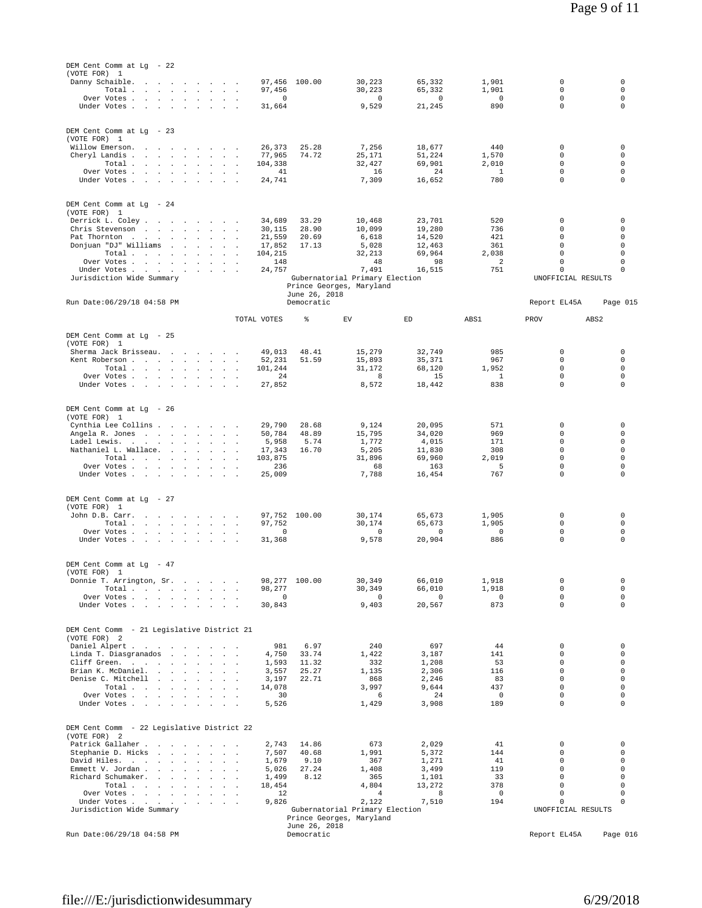| DEM Cent Comm at Lg - 22<br>(VOTE FOR) 1                                                                                                              |                                    |                                                            |                            |                       |                            |                            |
|-------------------------------------------------------------------------------------------------------------------------------------------------------|------------------------------------|------------------------------------------------------------|----------------------------|-----------------------|----------------------------|----------------------------|
| Danny Schaible.                                                                                                                                       | 97,456 100.00                      | 30,223                                                     | 65,332                     | 1,901                 | 0                          | 0                          |
| Total $\cdots$ $\cdots$ $\cdots$<br>Over Votes<br>$\sim$                                                                                              | 97,456<br>$\mathbb O$              | 30,223<br>0                                                | 65,332<br>0                | 1,901<br>0            | 0<br>0                     | $\mathbf 0$<br>$\mathbf 0$ |
| Under Votes                                                                                                                                           | 31,664                             | 9,529                                                      | 21,245                     | 890                   | 0                          | $\mathbf 0$                |
|                                                                                                                                                       |                                    |                                                            |                            |                       |                            |                            |
| DEM Cent Comm at Lg - 23                                                                                                                              |                                    |                                                            |                            |                       |                            |                            |
| (VOTE FOR) 1<br>Willow Emerson.                                                                                                                       | 26,373<br>25.28                    | 7,256                                                      | 18,677                     | 440                   | 0                          | 0                          |
| Cheryl Landis                                                                                                                                         | 74.72<br>77,965                    | 25,171                                                     | 51,224                     | 1,570                 | $\mathbf 0$<br>$\mathbf 0$ | $\mathbf 0$<br>$\mathbf 0$ |
| Total<br>Over Votes                                                                                                                                   | 104,338<br>41                      | 32,427<br>16                                               | 69,901<br>24               | 2,010<br>1            | 0                          | $\mathbf 0$                |
| Under Votes                                                                                                                                           | 24,741                             | 7,309                                                      | 16,652                     | 780                   | $\mathbf 0$                | $\mathbf 0$                |
|                                                                                                                                                       |                                    |                                                            |                            |                       |                            |                            |
| DEM Cent Comm at Lg - 24<br>(VOTE FOR) 1                                                                                                              |                                    |                                                            |                            |                       |                            |                            |
| Derrick L. Coley                                                                                                                                      | 33.29<br>34,689                    | 10,468                                                     | 23,701                     | 520                   | 0                          | 0                          |
| Chris Stevenson<br>Pat Thornton<br><b>Contract Contract</b><br>$\sim$<br>$\sim$                                                                       | 28.90<br>30,115<br>21,559<br>20.69 | 10,099<br>6,618                                            | 19,280<br>14,520           | 736<br>421            | $\mathbf 0$<br>0           | 0<br>0                     |
| Donjuan "DJ" Williams<br>and the contract of the state of the                                                                                         | 17.13<br>17,852                    | 5,028                                                      | 12,463                     | 361                   | $\mathbf 0$                | $\mathbf 0$                |
| Total<br>Over Votes                                                                                                                                   | 104,215<br>148                     | 32,213<br>48                                               | 69,964<br>98               | 2,038<br>2            | $\mathbf 0$<br>0           | $\mathbf 0$<br>$\mathbf 0$ |
| Under Votes<br>the contract of the contract<br>$\ddot{\phantom{0}}$                                                                                   | 24,757                             | 7,491                                                      | 16,515                     | 751                   | 0                          | 0                          |
| Jurisdiction Wide Summary                                                                                                                             |                                    | Gubernatorial Primary Election<br>Prince Georges, Maryland |                            |                       | UNOFFICIAL RESULTS         |                            |
| Run Date: 06/29/18 04:58 PM                                                                                                                           | Democratic                         | June 26, 2018                                              |                            |                       | Report EL45A               | Page 015                   |
|                                                                                                                                                       |                                    |                                                            |                            |                       |                            |                            |
|                                                                                                                                                       | TOTAL VOTES<br>%                   | EV                                                         | $\mathop{\rm ED}\nolimits$ | ABS1                  | PROV                       | ABS <sub>2</sub>           |
| DEM Cent Comm at Lg - 25                                                                                                                              |                                    |                                                            |                            |                       |                            |                            |
| (VOTE FOR) 1<br>Sherma Jack Brisseau.                                                                                                                 | 49,013<br>48.41                    | 15,279                                                     | 32,749                     | 985                   | 0                          | 0                          |
| Kent Roberson<br>$\sim$<br>$\overline{\phantom{a}}$                                                                                                   | 51.59<br>52,231                    | 15,893                                                     | 35,371                     | 967                   | 0<br>$\Omega$              | $\mathbf 0$<br>$\Omega$    |
| Total<br>Over Votes                                                                                                                                   | 101,244<br>24                      | 31,172<br>8                                                | 68,120<br>15               | 1,952<br><sup>1</sup> | 0                          | $\mathbf 0$                |
| Under Votes                                                                                                                                           | 27,852                             | 8,572                                                      | 18,442                     | 838                   | $\mathbf 0$                | 0                          |
|                                                                                                                                                       |                                    |                                                            |                            |                       |                            |                            |
| DEM Cent Comm at Lg - 26<br>(VOTE FOR) 1                                                                                                              |                                    |                                                            |                            |                       |                            |                            |
| Cynthia Lee Collins                                                                                                                                   | 28.68<br>29,790                    | 9,124                                                      | 20,095                     | 571                   | 0                          | 0                          |
| Angela R. Jones<br>Ladel Lewis.                                                                                                                       | 48.89<br>50,784<br>5,958           | 15,795<br>5.74<br>1,772                                    | 34,020<br>4,015            | 969<br>171            | $\mathbf 0$<br>$\mathbf 0$ | $\mathbf 0$<br>0           |
| Nathaniel L. Wallace.<br><b>Contract Contract</b><br>$\cdot$                                                                                          | 17,343<br>16.70                    | 5,205                                                      | 11,830                     | 308                   | $\mathbf 0$                | 0                          |
| Total $\cdots$ $\cdots$ $\cdots$<br>Over Votes                                                                                                        | 103,875<br>236                     | 31,896<br>68                                               | 69,960<br>163              | 2,019<br>5            | 0<br>0                     | $\mathbf 0$<br>$\mathbf 0$ |
| Under Votes                                                                                                                                           | 25,009                             | 7,788                                                      | 16,454                     | 767                   | $\mathbf 0$                | 0                          |
|                                                                                                                                                       |                                    |                                                            |                            |                       |                            |                            |
| DEM Cent Comm at Lg - 27<br>(VOTE FOR) 1                                                                                                              |                                    |                                                            |                            |                       |                            |                            |
| John D.B. Carr.                                                                                                                                       | 97,752 100.00                      | 30,174                                                     | 65,673                     | 1,905                 | 0                          | 0                          |
| Total<br>Over Votes<br>$\sim 10^{-1}$<br>$\sim$                                                                                                       | 97,752<br>$\circ$                  | 30,174<br>$\mathbb O$                                      | 65,673<br>$\mathsf 0$      | 1,905<br>$\mathbb O$  | 0<br>0                     | 0<br>$\mathsf 0$           |
| Under Votes                                                                                                                                           | 31,368                             | 9,578                                                      | 20,904                     | 886                   | $\mathbf 0$                | $\mathbf 0$                |
|                                                                                                                                                       |                                    |                                                            |                            |                       |                            |                            |
| DEM Cent Comm at Lg - 47<br>(VOTE FOR) 1                                                                                                              |                                    |                                                            |                            |                       |                            |                            |
| Donnie T. Arrington, Sr.<br><b>Carl Adams</b><br>$\sim$                                                                                               | 98,277 100.00                      | 30,349                                                     | 66,010                     | 1,918                 | 0                          | 0                          |
| Total<br>Over Votes                                                                                                                                   | 98,277<br>0                        | 30,349<br>$\mathbb O$                                      | 66,010<br>$\mathbf 0$      | 1,918<br>$\mathsf 0$  | 0<br>$\mathbf 0$           | $\mathbf 0$<br>$\mathbf 0$ |
| Under Votes                                                                                                                                           | 30,843                             | 9,403                                                      | 20,567                     | 873                   | $\Omega$                   | $\Omega$                   |
|                                                                                                                                                       |                                    |                                                            |                            |                       |                            |                            |
| DEM Cent Comm - 21 Legislative District 21<br>(VOTE FOR)<br>$\overline{2}$                                                                            |                                    |                                                            |                            |                       |                            |                            |
| Daniel Alpert                                                                                                                                         | 981                                | 6.97<br>240                                                | 697                        | 44                    | 0                          | $\mathbf 0$                |
| Linda T. Diasgranados<br>Cliff Green.                                                                                                                 | 33.74<br>4,750<br>11.32<br>1,593   | 1,422<br>332                                               | 3,187<br>1,208             | 141<br>53             | 0<br>$\mathbf 0$           | $\mathbf 0$<br>$\mathbf 0$ |
| Brian K. McDaniel.<br>the contract of the contract of                                                                                                 | 25.27<br>3,557                     | 1,135                                                      | 2,306                      | 116                   | $\Omega$                   | $\Omega$                   |
| Denise C. Mitchell<br>Total                                                                                                                           | 22.71<br>3,197<br>14,078           | 868<br>3,997                                               | 2,246<br>9,644             | 83<br>437             | 0<br>$\mathbf 0$           | $\mathbf 0$<br>$\mathbf 0$ |
| Over Votes                                                                                                                                            | 30                                 | 6                                                          | 24                         | $\mathsf 0$           | $\mathbf 0$                | $\mathbf 0$                |
| Under Votes                                                                                                                                           | 5,526                              | 1,429                                                      | 3,908                      | 189                   | $\Omega$                   | $\Omega$                   |
|                                                                                                                                                       |                                    |                                                            |                            |                       |                            |                            |
| DEM Cent Comm - 22 Legislative District 22<br>(VOTE FOR)<br>$\overline{2}$                                                                            |                                    |                                                            |                            |                       |                            |                            |
| Patrick Gallaher<br>$\sim$<br>Stephanie D. Hicks<br><b>Service Control</b><br>$\cdot$<br>$\sim$<br>$\sim$<br>$\sim$                                   | 2,743<br>14.86<br>40.68<br>7,507   | 673<br>1,991                                               | 2,029<br>5,372             | 41<br>144             | 0<br>0                     | 0<br>0                     |
| David Hiles.                                                                                                                                          | 1,679                              | 9.10<br>367                                                | 1,271                      | 41                    | $\Omega$                   | $\Omega$                   |
| Emmett V. Jordan.<br>the contract of the contract of the<br>Richard Schumaker.<br>and a state of the state<br><b>San Adams</b>                        | 5,026<br>27.24<br>1,499            | 1,408<br>8.12<br>365                                       | 3,499<br>1,101             | 119<br>33             | $\Omega$<br>0              | $\mathbf 0$<br>$\mathbf 0$ |
| Total<br>the company of the company of the company of                                                                                                 | 18,454                             | 4,804                                                      | 13,272                     | 378                   | $\mathbf 0$                | $\mathbf 0$                |
| Over Votes .<br>$\ddot{\phantom{a}}$<br>$\sim$<br>$\sim$ $\sim$<br>$\sim$<br>$\ddot{\phantom{a}}$<br>Under Votes .<br>the contract of the contract of | 12<br>9,826                        | $\overline{4}$<br>2,122                                    | 8<br>7,510                 | 0<br>194              | $\mathsf 0$<br>$\mathbf 0$ | $\mathbf 0$<br>$\Omega$    |
| Jurisdiction Wide Summary                                                                                                                             |                                    | Gubernatorial Primary Election                             |                            |                       | UNOFFICIAL RESULTS         |                            |
|                                                                                                                                                       |                                    | Prince Georges, Maryland<br>June 26, 2018                  |                            |                       |                            |                            |
| Run Date: 06/29/18 04:58 PM                                                                                                                           | Democratic                         |                                                            |                            |                       | Report EL45A               | Page 016                   |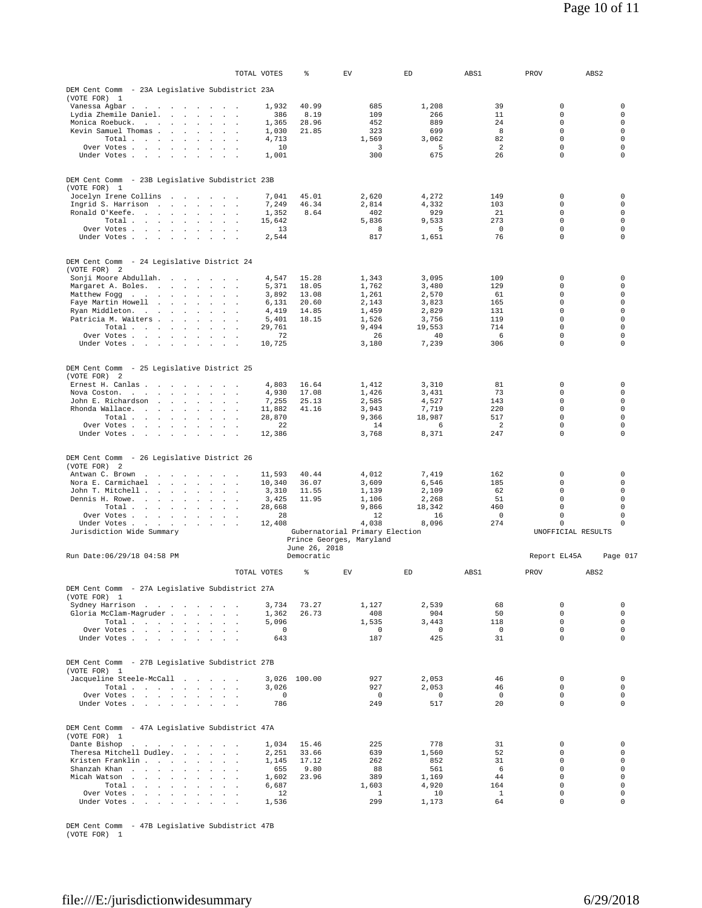|                                                                                                                                                                                                  | TOTAL VOTES                        |                     | %              | EV                             | ED                      | ABS1                  | PROV                           | ABS <sub>2</sub>           |
|--------------------------------------------------------------------------------------------------------------------------------------------------------------------------------------------------|------------------------------------|---------------------|----------------|--------------------------------|-------------------------|-----------------------|--------------------------------|----------------------------|
| DEM Cent Comm - 23A Legislative Subdistrict 23A                                                                                                                                                  |                                    |                     |                |                                |                         |                       |                                |                            |
| (VOTE FOR) 1                                                                                                                                                                                     |                                    |                     |                |                                |                         |                       |                                |                            |
| Vanessa Agbar<br>$\sim$                                                                                                                                                                          | $\sim$ $\sim$                      | 1,932               | 40.99<br>8.19  | 685<br>109                     | 1,208<br>266            | 39<br>11              | $\mathsf 0$<br>$\Omega$        | 0<br>$\Omega$              |
| Lydia Zhemile Daniel.<br><b>Carl Carl</b><br>$\sim$<br>$\mathbf{r}$<br>Monica Roebuck.<br><b>Contract</b>                                                                                        | $\overline{a}$<br>$\sim$           | 386<br>1,365        | 28.96          | 452                            | 889                     | 24                    | $\circ$                        | $\mathbf 0$                |
| Kevin Samuel Thomas.<br>$\sim 100$<br>$\cdot$<br>$\sim$                                                                                                                                          | $\overline{a}$                     | 1,030               | 21.85          | 323                            | 699                     | 8                     | $\circ$                        | $\circ$                    |
| Total<br>$\sim$                                                                                                                                                                                  |                                    | 4,713               |                | 1,569                          | 3,062                   | 82                    | $\circ$                        | $\mathbf 0$                |
| Over Votes.<br>the contract of the state<br>$\sim$<br>$\sim$                                                                                                                                     |                                    | 10<br>1,001         |                | 3<br>300                       | 5<br>675                | $\overline{2}$<br>26  | $\circ$<br>$\circ$             | $\mathbf 0$<br>0           |
| Under Votes<br>$\sim$                                                                                                                                                                            | $\sim$ $\sim$                      |                     |                |                                |                         |                       |                                |                            |
|                                                                                                                                                                                                  |                                    |                     |                |                                |                         |                       |                                |                            |
| DEM Cent Comm - 23B Legislative Subdistrict 23B<br>(VOTE FOR) 1                                                                                                                                  |                                    |                     |                |                                |                         |                       |                                |                            |
| Jocelyn Irene Collins<br>and the company of the company of                                                                                                                                       |                                    | 7.041               | 45.01          | 2.620                          | 4.272                   | 149                   | 0                              | 0                          |
| Ingrid S. Harrison<br>and the state of the state<br>$\sim$                                                                                                                                       |                                    | 7,249               | 46.34          | 2,814                          | 4,332                   | 103                   | $\circ$                        | $\mathbf 0$                |
| Ronald O'Keefe.<br>$\sim$<br>$\sim$<br>$\sim$<br>Total.                                                                                                                                          |                                    | 1,352<br>15,642     | 8.64           | 402<br>5,836                   | 929<br>9,533            | 21<br>273             | $\circ$<br>$\circ$             | $\circ$<br>0               |
| and the contract of the<br>$\ddot{\phantom{a}}$<br>$\Box$<br>Over Votes                                                                                                                          | $\overline{a}$<br>$\mathbf{r}$     | 13                  |                | 8                              | 5                       | 0                     | $\mathsf{O}\xspace$            | 0                          |
| Under Votes.<br>$\sim$<br>$\sim$<br>$\sim$<br>$\sim$<br>$\sim$<br>$\overline{a}$                                                                                                                 |                                    | 2,544               |                | 817                            | 1,651                   | 76                    | $\mathsf{O}\xspace$            | $\mathbf 0$                |
|                                                                                                                                                                                                  |                                    |                     |                |                                |                         |                       |                                |                            |
| DEM Cent Comm<br>- 24 Legislative District 24                                                                                                                                                    |                                    |                     |                |                                |                         |                       |                                |                            |
| (VOTE FOR) 2                                                                                                                                                                                     |                                    |                     |                |                                |                         |                       |                                |                            |
| Sonji Moore Abdullah.<br>Margaret A. Boles.<br>$\sim$<br>$\sim$ 100 $\mu$                                                                                                                        | $\sim$                             | 4,547<br>5,371      | 15.28<br>18.05 | 1,343<br>1,762                 | 3,095<br>3,480          | 109<br>129            | 0<br>$\Omega$                  | 0<br>0                     |
| Matthew Fogg<br>$\sim$ $\sim$                                                                                                                                                                    | $\sim$<br>$\sim$                   | 3,892               | 13.08          | 1,261                          | 2,570                   | 61                    | 0                              | $\mathbf 0$                |
| Faye Martin Howell<br>$\sim 100$ km s $^{-1}$<br>$\ddot{\phantom{a}}$<br>$\ddot{\phantom{a}}$<br>$\mathcal{L}$                                                                                   | $\lambda$                          | 6,131               | 20.60          | 2,143                          | 3.823                   | 165                   | $\circ$                        | 0                          |
| Ryan Middleton.<br>$\sim 100$ $\sim$<br>$\sim$                                                                                                                                                   | $\sim$                             | 4,419               | 14.85          | 1,459                          | 2,829                   | 131                   | $\circ$                        | 0                          |
| Patricia M. Waiters<br>$\sim$ $\sim$<br>$\sim$<br>Total<br>$\ddot{\phantom{a}}$<br>$\mathbf{r}$<br>$\mathbf{r}$                                                                                  | i.<br>$\mathbf{r}$                 | 5,401<br>29.761     | 18.15          | 1,526<br>9,494                 | 3,756<br>19,553         | 119<br>714            | $\circ$<br>0                   | 0<br>0                     |
| Over Votes                                                                                                                                                                                       | $\sim$                             | 72                  |                | 26                             | 40                      | 6                     | $\circ$                        | $\mathbf 0$                |
| Under Votes .<br>$\sim$<br>$\sim$                                                                                                                                                                |                                    | 10,725              |                | 3,180                          | 7,239                   | 306                   | $\mathsf{O}\xspace$            | 0                          |
|                                                                                                                                                                                                  |                                    |                     |                |                                |                         |                       |                                |                            |
| DEM Cent Comm<br>- 25 Legislative District 25                                                                                                                                                    |                                    |                     |                |                                |                         |                       |                                |                            |
| (VOTE FOR)<br>-2<br>Ernest H. Canlas.<br>$\overline{\phantom{a}}$<br>$\sim$<br>$\sim$<br>$\sim$<br>$\sim$                                                                                        |                                    | 4,803               | 16.64          | 1,412                          | 3,310                   | 81                    | $\mathsf 0$                    | 0                          |
| Nova Coston.<br>$\sim$<br>$\lambda$<br>$\blacksquare$<br>$\cdot$<br>$\ddot{\phantom{a}}$<br>$\mathbf{r}$                                                                                         | $\mathbf{r}$                       | 4,930               | 17.08          | 1,426                          | 3,431                   | 73                    | $\circ$                        | 0                          |
| John E. Richardson<br><b>Contract Contract</b><br><b>Contract Contract Street</b>                                                                                                                | $\sim$                             | 7,255               | 25.13          | 2.585                          | 4,527                   | 143                   | $\circ$                        | 0                          |
| Rhonda Wallace.<br>$\sim$<br>$\mathbf{r}$<br>$\ddot{\phantom{a}}$                                                                                                                                |                                    | 11,882              | 41.16          | 3,943                          | 7,719                   | 220<br>517            | $\circ$<br>$\Omega$            | 0<br>$\Omega$              |
| Total.<br>$\sim 100$<br>the control of the con-<br>$\mathbf{r}$<br>Over Votes .<br><b>San Adams Strategies</b><br>$\ddot{\phantom{a}}$<br>$\sim$<br>$\sim$                                       | $\overline{a}$                     | 28,870<br>22        |                | 9,366<br>14                    | 18,987<br>6             | $\overline{a}$        | $\circ$                        | 0                          |
| Under Votes.<br>$\mathbf{r}$<br>$\sim$<br>$\mathbf{r}$<br>$\sim$<br>$\ddot{\phantom{a}}$                                                                                                         | $\lambda$                          | 12,386              |                | 3,768                          | 8,371                   | 247                   | $\circ$                        | 0                          |
| - 26 Legislative District 26<br>DEM Cent Comm<br>(VOTE FOR) 2<br>Antwan C. Brown<br>$\ddot{\phantom{a}}$<br>$\sim$<br>$\overline{\phantom{a}}$<br>Nora E. Carmichael<br><b>Contract Contract</b> | $\sim$ $\sim$ $\sim$               | 11,593<br>10,340    | 40.44<br>36.07 | 4,012<br>3,609                 | 7,419<br>6,546          | 162<br>185            | 0<br>$\Omega$                  | 0<br>0                     |
| John T. Mitchell<br>and the control of the con-                                                                                                                                                  | $\sim$<br>$\sim$                   | 3,310               | 11.55          | 1,139                          | 2,109                   | 62                    | $\circ$                        | 0                          |
| Dennis H. Rowe.<br>$\sim$<br>$\ddot{\phantom{a}}$                                                                                                                                                | $\overline{a}$                     | 3,425               | 11.95          | 1,106                          | 2,268                   | 51                    | $\circ$                        | 0                          |
| Total<br>Over Votes                                                                                                                                                                              |                                    | 28,668<br>28        |                | 9,866<br>12                    | 18,342<br>16            | 460<br>$\mathbb O$    | $\circ$<br>$\mathsf{O}\xspace$ | $\mathbf 0$<br>$\mathbf 0$ |
| $\sim$ $\sim$<br>$\sim$<br>Under Votes .<br>$\mathbf{r}$<br>$\ddot{\phantom{a}}$<br>$\sim$<br>$\ddot{\phantom{a}}$                                                                               | $\sim$                             | 12,408              |                | 4,038                          | 8,096                   | 274                   | $\circ$                        | 0                          |
| Jurisdiction Wide Summary                                                                                                                                                                        |                                    |                     |                | Gubernatorial Primary Election |                         |                       | UNOFFICIAL RESULTS             |                            |
|                                                                                                                                                                                                  |                                    |                     | June 26, 2018  | Prince Georges, Maryland       |                         |                       |                                |                            |
| Run Date: 06/29/18 04:58 PM                                                                                                                                                                      |                                    |                     | Democratic     |                                |                         |                       | Report EL45A                   | Page 017                   |
|                                                                                                                                                                                                  | TOTAL VOTES                        |                     | %              | EV                             | ED                      | ABS1                  | PROV                           | ABS 2                      |
|                                                                                                                                                                                                  |                                    |                     |                |                                |                         |                       |                                |                            |
| DEM Cent Comm - 27A Legislative Subdistrict 27A<br>(VOTE FOR) 1                                                                                                                                  |                                    |                     |                |                                |                         |                       |                                |                            |
| Sydney Harrison                                                                                                                                                                                  |                                    | 3,734               | 73.27          | 1,127                          | 2,539                   | 68                    | $\mathsf{O}\xspace$            | $\mathbb O$                |
| Gloria McClam-Magruder                                                                                                                                                                           |                                    | 1,362               | 26.73          | 408                            | 904                     | 50                    | $\circ$<br>$\circ$             | $\mathbf 0$<br>$\circ$     |
| Total<br>Over Votes                                                                                                                                                                              |                                    | 5,096<br>$^{\circ}$ |                | 1,535<br>$\circ$               | 3,443<br>$\overline{0}$ | 118<br>$\overline{0}$ | $\circ$                        | $\mathbf 0$                |
| Under Votes                                                                                                                                                                                      |                                    | 643                 |                | 187                            | 425                     | 31                    | $\circ$                        | $\mathbf 0$                |
|                                                                                                                                                                                                  |                                    |                     |                |                                |                         |                       |                                |                            |
| DEM Cent Comm - 27B Legislative Subdistrict 27B                                                                                                                                                  |                                    |                     |                |                                |                         |                       |                                |                            |
| (VOTE FOR) 1<br>Jacqueline Steele-McCall                                                                                                                                                         |                                    | 3,026               | 100.00         | 927                            | 2,053                   | 46                    | $\circ$                        | $\mathsf 0$                |
| Total.                                                                                                                                                                                           | $\sim$                             | 3,026               |                | 927                            | 2,053                   | 46                    | $\circ$                        | $\mathsf 0$                |
| Over Votes                                                                                                                                                                                       |                                    | $^{\circ}$          |                | $\overline{0}$                 | $\mathbf 0$             | $\mathbf{0}$          | $\circ$                        | $\circ$                    |
| Under Votes                                                                                                                                                                                      |                                    | 786                 |                | 249                            | 517                     | 20                    | $\circ$                        | $\mathbf 0$                |
| DEM Cent Comm - 47A Legislative Subdistrict 47A<br>(VOTE FOR) 1                                                                                                                                  |                                    |                     |                |                                |                         |                       |                                |                            |
| Dante Bishop<br>the company of the company of the company of<br>Theresa Mitchell Dudley.                                                                                                         |                                    | 1,034<br>2,251      | 15.46<br>33.66 | 225<br>639                     | 778<br>1,560            | 31<br>52              | $\mathsf{O}\xspace$<br>$\circ$ | $\mathsf 0$<br>$\mathbf 0$ |
| Kristen Franklin<br>$\sim$ $\sim$<br>$\sim$                                                                                                                                                      | $\sim$                             | 1,145               | 17.12          | 262                            | 852                     | 31                    | 0                              | $\mathbf 0$                |
| Shanzah Khan                                                                                                                                                                                     |                                    | 655                 | 9.80           | 88                             | 561                     | 6                     | $\circ$                        | $\mathbf 0$                |
| Micah Watson<br>$\sim$<br>and the control of the con-<br>$\sim$<br>$\ddot{\phantom{a}}$                                                                                                          |                                    | 1,602               | 23.96          | 389                            | 1,169                   | 44                    | $\mathsf{O}\xspace$            | $\mathsf 0$                |
| Total<br>Over Votes                                                                                                                                                                              | $\sim$<br>$\overline{\phantom{a}}$ | 6,687<br>12         |                | 1,603<br>1                     | 4,920<br>10             | 164<br>$\mathbf{1}$   | $\circ$<br>$\circ$             | $\mathbf 0$<br>$\mathbf 0$ |
| Under Votes                                                                                                                                                                                      | $\sim$                             | 1,536               |                | 299                            | 1,173                   | 64                    | 0                              | $\mathbf 0$                |
|                                                                                                                                                                                                  |                                    |                     |                |                                |                         |                       |                                |                            |

DEM Cent Comm - 47B Legislative Subdistrict 47B (VOTE FOR) 1